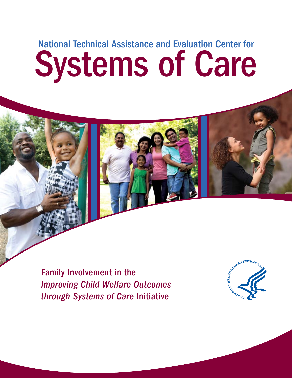# National Technical Assistance and Evaluation Center for Systems of Care

Family Involvement in the *Improving Child Welfare Outcomes through Systems of Care* Initiative

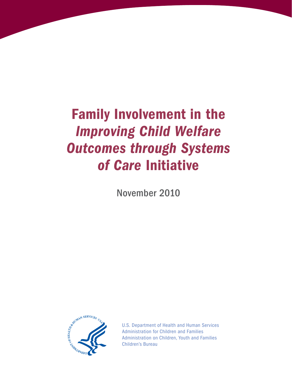## Family Involvement in the *Improving Child Welfare Outcomes through Systems of Care* Initiative

November 2010



U.S. Department of Health and Human Services Administration for Children and Families Administration on Children, Youth and Families Children's Bureau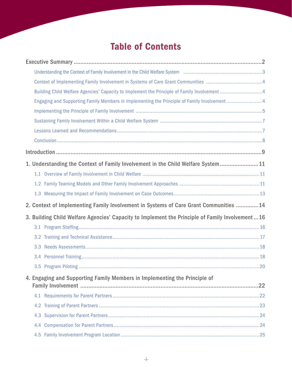### Table of Contents

|     | Building Child Welfare Agencies' Capacity to Implement the Principle of Family Involvement 4    |  |
|-----|-------------------------------------------------------------------------------------------------|--|
|     | Engaging and Supporting Family Members in Implementing the Principle of Family Involvement 4    |  |
|     |                                                                                                 |  |
|     |                                                                                                 |  |
|     |                                                                                                 |  |
|     |                                                                                                 |  |
|     |                                                                                                 |  |
|     | 1. Understanding the Context of Family Involvement in the Child Welfare System 11               |  |
|     |                                                                                                 |  |
|     |                                                                                                 |  |
|     |                                                                                                 |  |
|     |                                                                                                 |  |
|     | 2. Context of Implementing Family Involvement in Systems of Care Grant Communities  14          |  |
|     | 3. Building Child Welfare Agencies' Capacity to Implement the Principle of Family Involvement16 |  |
|     |                                                                                                 |  |
|     |                                                                                                 |  |
|     |                                                                                                 |  |
|     |                                                                                                 |  |
|     |                                                                                                 |  |
|     | 4. Engaging and Supporting Family Members in Implementing the Principle of                      |  |
|     |                                                                                                 |  |
|     |                                                                                                 |  |
|     |                                                                                                 |  |
| 4.3 |                                                                                                 |  |
|     |                                                                                                 |  |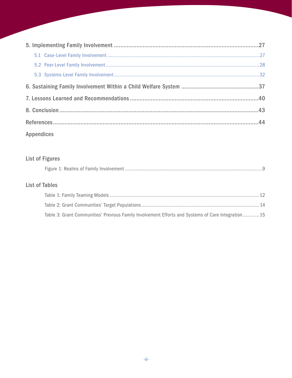| <b>Appendices</b> |  |  |
|-------------------|--|--|

### **List of Figures**

#### **List of Tables**

| Table 3: Grant Communities' Previous Family Involvement Efforts and Systems of Care Integration 15 |  |
|----------------------------------------------------------------------------------------------------|--|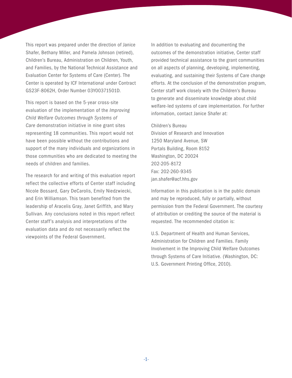This report was prepared under the direction of Janice Shafer, Bethany Miller, and Pamela Johnson (retired), Children's Bureau, Administration on Children, Youth, and Families, by the National Technical Assistance and Evaluation Center for Systems of Care (Center). The Center is operated by ICF International under Contract GS23F-8062H, Order Number 03Y00371501D.

This report is based on the 5-year cross-site evaluation of the implementation of the *Improving Child Welfare Outcomes through Systems of Care* demonstration initiative in nine grant sites representing 18 communities. This report would not have been possible without the contributions and support of the many individuals and organizations in those communities who are dedicated to meeting the needs of children and families.

The research for and writing of this evaluation report reflect the collective efforts of Center staff including Nicole Bossard, Gary DeCarolis, Emily Niedzwiecki, and Erin Williamson. This team benefited from the leadership of Aracelis Gray, Janet Griffith, and Mary Sullivan. Any conclusions noted in this report reflect Center staff's analysis and interpretations of the evaluation data and do not necessarily reflect the viewpoints of the Federal Government.

In addition to evaluating and documenting the outcomes of the demonstration initiative, Center staff provided technical assistance to the grant communities on all aspects of planning, developing, implementing, evaluating, and sustaining their Systems of Care change efforts. At the conclusion of the demonstration program, Center staff work closely with the Children's Bureau to generate and disseminate knowledge about child welfare-led systems of care implementation. For further information, contact Janice Shafer at:

#### Children's Bureau

Division of Research and Innovation 1250 Maryland Avenue, SW Portals Building, Room 8152 Washington, DC 20024 202-205-8172 Fax: 202-260-9345 jan.shafer@acf.hhs.gov

Information in this publication is in the public domain and may be reproduced, fully or partially, without permission from the Federal Government. The courtesy of attribution or crediting the source of the material is requested. The recommended citation is:

U.S. Department of Health and Human Services, Administration for Children and Families. Family Involvement in the Improving Child Welfare Outcomes through Systems of Care Initiative. (Washington, DC: U.S. Government Printing Office, 2010).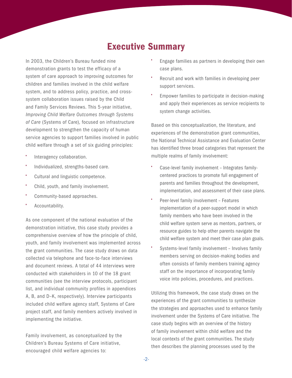### Executive Summary

<span id="page-5-0"></span>In 2003, the Children's Bureau funded nine demonstration grants to test the efficacy of a system of care approach to improving outcomes for children and families involved in the child welfare system, and to address policy, practice, and crosssystem collaboration issues raised by the Child and Family Services Reviews. This 5-year initiative, *Improving Child Welfare Outcomes through Systems of Care* (Systems of Care), focused on infrastructure development to strengthen the capacity of human service agencies to support families involved in public child welfare through a set of six guiding principles:

- Interagency collaboration.
- Individualized, strengths-based care.
- Cultural and linguistic competence.
- Child, youth, and family involvement.
- Community-based approaches.
- Accountability.

As one component of the national evaluation of the demonstration initiative, this case study provides a comprehensive overview of how the principle of child, youth, and family involvement was implemented across the grant communities. The case study draws on data collected via telephone and face-to-face interviews and document reviews. A total of 44 interviews were conducted with stakeholders in 10 of the 18 grant communities (see the interview protocols, participant list, and individual community profiles in appendices A, B, and D–K, respectively). Interview participants included child welfare agency staff, Systems of Care project staff, and family members actively involved in implementing the initiative.

Family involvement, as conceptualized by the Children's Bureau Systems of Care initiative, encouraged child welfare agencies to:

- Engage families as partners in developing their own case plans.
- Recruit and work with families in developing peer support services.
- Empower families to participate in decision-making and apply their experiences as service recipients to system change activities.

Based on this conceptualization, the literature, and experiences of the demonstration grant communities, the National Technical Assistance and Evaluation Center has identified three broad categories that represent the multiple realms of family involvement:

- Case-level family involvement Integrates familycentered practices to promote full engagement of parents and families throughout the development, implementation, and assessment of their case plans.
- Peer-level family involvement Features implementation of a peer-support model in which family members who have been involved in the child welfare system serve as mentors, partners, or resource guides to help other parents navigate the child welfare system and meet their case plan goals.
- Systems-level family involvement Involves family members serving on decision-making bodies and often consists of family members training agency staff on the importance of incorporating family voice into policies, procedures, and practices.

Utilizing this framework, the case study draws on the experiences of the grant communities to synthesize the strategies and approaches used to enhance family involvement under the Systems of Care initiative. The case study begins with an overview of the history of family involvement within child welfare and the local contexts of the grant communities. The study then describes the planning processes used by the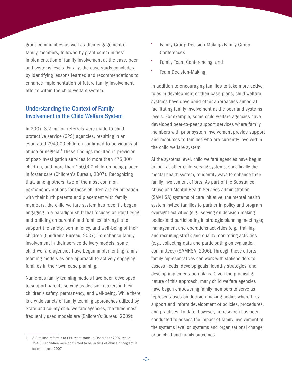<span id="page-6-0"></span>grant communities as well as their engagement of family members, followed by grant communities' implementation of family involvement at the case, peer, and systems levels. Finally, the case study concludes by identifying lessons learned and recommendations to enhance implementation of future family involvement efforts within the child welfare system.

#### Understanding the Context of Family Involvement in the Child Welfare System

In 2007, 3.2 million referrals were made to child protective service (CPS) agencies, resulting in an estimated 794,000 children confirmed to be victims of abuse or neglect.<sup>1</sup> These findings resulted in provision of post-investigation services to more than 475,000 children, and more than 150,000 children being placed in foster care (Children's Bureau, 2007). Recognizing that, among others, two of the most common permanency options for these children are reunification with their birth parents and placement with family members, the child welfare system has recently begun engaging in a paradigm shift that focuses on identifying and building on parents' and families' strengths to support the safety, permanency, and well-being of their children (Children's Bureau, 2007). To enhance family involvement in their service delivery models, some child welfare agencies have begun implementing family teaming models as one approach to actively engaging families in their own case planning.

Numerous family teaming models have been developed to support parents serving as decision makers in their children's safety, permanency, and well-being. While there is a wide variety of family teaming approaches utilized by State and county child welfare agencies, the three most frequently used models are (Children's Bureau, 2009):

- Family Group Decision-Making/Family Group Conferences
- Family Team Conferencing, and
- Team Decision-Making.

In addition to encouraging families to take more active roles in development of their case plans, child welfare systems have developed other approaches aimed at facilitating family involvement at the peer and systems levels. For example, some child welfare agencies have developed peer-to-peer support services where family members with prior system involvement provide support and resources to families who are currently involved in the child welfare system.

At the systems level, child welfare agencies have begun to look at other child-serving systems, specifically the mental health system, to identify ways to enhance their family involvement efforts. As part of the Substance Abuse and Mental Health Services Administration (SAMHSA) systems of care initiative, the mental health system invited families to partner in policy and program oversight activities (e.g., serving on decision-making bodies and participating in strategic planning meetings); management and operations activities (e.g., training and recruiting staff); and quality monitoring activities (e.g., collecting data and participating on evaluation committees) (SAMHSA, 2006). Through these efforts, family representatives can work with stakeholders to assess needs, develop goals, identify strategies, and develop implementation plans. Given the promising nature of this approach, many child welfare agencies have begun empowering family members to serve as representatives on decision-making bodies where they support and inform development of policies, procedures, and practices. To date, however, no research has been conducted to assess the impact of family involvement at the systems level on systems and organizational change or on child and family outcomes.

<sup>1</sup> 3.2 million referrals to CPS were made in Fiscal Year 2007, while 794,000 children were confirmed to be victims of abuse or neglect in calendar year 2007.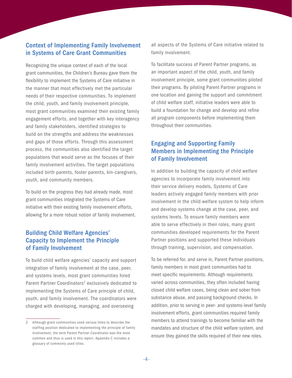#### <span id="page-7-0"></span>Context of Implementing Family Involvement in Systems of Care Grant Communities

Recognizing the unique context of each of the local grant communities, the Children's Bureau gave them the flexibility to implement the Systems of Care initiative in the manner that most effectively met the particular needs of their respective communities. To implement the child, youth, and family involvement principle, most grant communities examined their existing family engagement efforts, and together with key interagency and family stakeholders, identified strategies to build on the strengths and address the weaknesses and gaps of those efforts. Through this assessment process, the communities also identified the target populations that would serve as the focuses of their family involvement activities. The target populations included birth parents, foster parents, kin-caregivers, youth, and community members.

To build on the progress they had already made, most grant communities integrated the Systems of Care initiative with their existing family involvement efforts, allowing for a more robust notion of family involvement.

#### Building Child Welfare Agencies' Capacity to Implement the Principle of Family Involvement

To build child welfare agencies' capacity and support integration of family involvement at the case, peer, and systems levels, most grant communities hired Parent Partner Coordinators<sup>2</sup> exclusively dedicated to implementing the Systems of Care principle of child, youth, and family involvement. The coordinators were charged with developing, managing, and overseeing

all aspects of the Systems of Care initiative related to family involvement.

To facilitate success of Parent Partner programs, as an important aspect of the child, youth, and family involvement principle, some grant communities piloted their programs. By piloting Parent Partner programs in one location and gaining the support and commitment of child welfare staff, initiative leaders were able to build a foundation for change and develop and refine all program components before implementing them throughout their communities.

#### Engaging and Supporting Family Members in Implementing the Principle of Family Involvement

In addition to building the capacity of child welfare agencies to incorporate family involvement into their service delivery models, Systems of Care leaders actively engaged family members with prior involvement in the child welfare system to help inform and develop systems change at the case, peer, and systems levels. To ensure family members were able to serve effectively in their roles, many grant communities developed requirements for the Parent Partner positions and supported these individuals through training, supervision, and compensation.

To be referred for, and serve in, Parent Partner positions, family members in most grant communities had to meet specific requirements. Although requirements varied across communities, they often included having closed child welfare cases, being clean and sober from substance abuse, and passing background checks. In addition, prior to serving in peer- and systems-level family involvement efforts, grant communities required family members to attend trainings to become familiar with the mandates and structure of the child welfare system, and ensure they gained the skills required of their new roles.

Although grant communities used various titles to describe the staffing position dedicated to implementing the principle of family involvement, the term Parent Partner Coordinator was the most common and thus is used in this report. Appendix C includes a glossary of commonly used titles.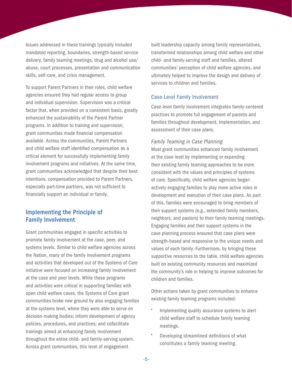<span id="page-8-0"></span>Issues addressed in these trainings typically included mandated reporting, boundaries, strength-based service delivery, family teaming meetings, drug and alcohol use/ abuse, court processes, presentation and communication skills, self-care, and crisis management.

To support Parent Partners in their roles, child welfare agencies ensured they had regular access to group and individual supervision. Supervision was a critical factor that, when provided on a consistent basis, greatly enhanced the sustainability of the Parent Partner programs. In addition to training and supervision, grant communities made financial compensation available. Across the communities, Parent Partners and child welfare staff identified compensation as a critical element for successfully implementing family involvement programs and initiatives. At the same time, grant communities acknowledged that despite their best intentions, compensation provided to Parent Partners, especially part-time partners, was not sufficient to financially support an individual or family.

#### Implementing the Principle of Family Involvement

Grant communities engaged in specific activities to promote family involvement at the case, peer, and systems levels. Similar to child welfare agencies across the Nation, many of the family involvement programs and activities that developed out of the Systems of Care initiative were focused on increasing family involvement at the case and peer levels. While these programs and activities were critical in supporting families with open child welfare cases, the Systems of Care grant communities broke new ground by also engaging families at the systems level, where they were able to serve on decision-making bodies; inform development of agency policies, procedures, and practices; and cofacilitate trainings aimed at enhancing family involvement throughout the entire child- and family-serving system. Across grant communities, this level of engagement

built leadership capacity among family representatives, transformed relationships among child welfare and other child- and family-serving staff and families, altered communities' perception of child welfare agencies, and ultimately helped to improve the design and delivery of services to children and families.

#### Case-Level Family Involvement

Case-level family involvement integrates family-centered practices to promote full engagement of parents and families throughout development, implementation, and assessment of their case plans.

#### *Family Teaming in Case Planning*

Most grant communities enhanced family involvement at the case level by implementing or expanding their existing family teaming approaches to be more consistent with the values and principles of systems of care. Specifically, child welfare agencies began actively engaging families to play more active roles in development and execution of their case plans. As part of this, families were encouraged to bring members of their support systems (e.g., extended family members, neighbors, and pastors) to their family teaming meetings. Engaging families and their support systems in the case planning process ensured that case plans were strength-based and responsive to the unique needs and values of each family. Furthermore, by bringing these supportive resources to the table, child welfare agencies built on existing community resources and maximized the community's role in helping to improve outcomes for children and families.

Other actions taken by grant communities to enhance existing family teaming programs included:

- Implementing quality assurance systems to alert child welfare staff to schedule family teaming meetings.
- Developing streamlined definitions of what constitutes a family teaming meeting.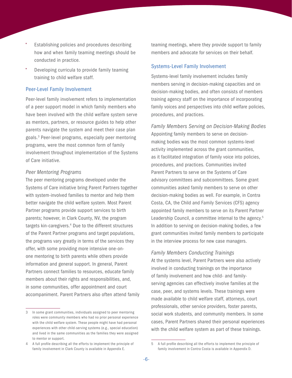- Establishing policies and procedures describing how and when family teaming meetings should be conducted in practice.
- Developing curricula to provide family teaming training to child welfare staff.

#### Peer-Level Family Involvement

Peer-level family involvement refers to implementation of a peer support model in which family members who have been involved with the child welfare system serve as mentors, partners, or resource guides to help other parents navigate the system and meet their case plan goals.3 Peer-level programs, especially peer mentoring programs, were the most common form of family involvement throughout implementation of the Systems of Care initiative.

#### *Peer Mentoring Programs*

The peer mentoring programs developed under the Systems of Care initiative bring Parent Partners together with system-involved families to mentor and help them better navigate the child welfare system. Most Parent Partner programs provide support services to birth parents; however, in Clark County, NV, the program targets kin-caregivers.<sup>4</sup> Due to the different structures of the Parent Partner programs and target populations, the programs vary greatly in terms of the services they offer, with some providing more intensive one-onone mentoring to birth parents while others provide information and general support. In general, Parent Partners connect families to resources, educate family members about their rights and responsibilities, and, in some communities, offer appointment and court accompaniment. Parent Partners also often attend family teaming meetings, where they provide support to family members and advocate for services on their behalf.

#### Systems-Level Family Involvement

Systems-level family involvement includes family members serving in decision-making capacities and on decision-making bodies, and often consists of members training agency staff on the importance of incorporating family voices and perspectives into child welfare policies, procedures, and practices.

*Family Members Serving on Decision-Making Bodies* Appointing family members to serve on decisionmaking bodies was the most common systems-level activity implemented across the grant communities, as it facilitated integration of family voice into policies, procedures, and practices. Communities invited Parent Partners to serve on the Systems of Care advisory committees and subcommittees. Some grant communities asked family members to serve on other decision-making bodies as well. For example, in Contra Costa, CA, the Child and Family Services (CFS) agency appointed family members to serve on its Parent Partner Leadership Council, a committee internal to the agency.<sup>5</sup> In addition to serving on decision-making bodies, a few grant communities invited family members to participate in the interview process for new case managers.

#### *Family Members Conducting Trainings*

At the systems level, Parent Partners were also actively involved in conducting trainings on the importance of family involvement and how child- and familyserving agencies can effectively involve families at the case, peer, and systems levels. These trainings were made available to child welfare staff, attorneys, court professionals, other service providers, foster parents, social work students, and community members. In some cases, Parent Partners shared their personal experiences with the child welfare system as part of these trainings.

<sup>3</sup> In some grant communities, individuals assigned to peer mentoring roles were community members who had no prior personal experience with the child welfare system. These people might have had personal experiences with other child-serving systems (e.g., special education) and lived in the same communities as the families they were assigned to mentor or support.

<sup>4</sup> A full profile describing all the efforts to implement the principle of family involvement in Clark County is available in Appendix E.

<sup>5</sup> A full profile describing all the efforts to implement the principle of family involvement in Contra Costa is available in Appendix D.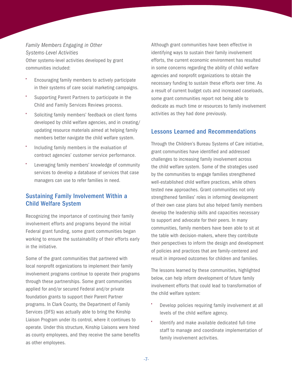#### <span id="page-10-0"></span>*Family Members Engaging in Other Systems-Level Activities*

Other systems-level activities developed by grant communities included:

- Encouraging family members to actively participate in their systems of care social marketing campaigns.
- Supporting Parent Partners to participate in the Child and Family Services Reviews process.
- Soliciting family members' feedback on client forms developed by child welfare agencies, and in creating/ updating resource materials aimed at helping family members better navigate the child welfare system.
- Including family members in the evaluation of contract agencies' customer service performance.
- Leveraging family members' knowledge of community services to develop a database of services that case managers can use to refer families in need.

#### Sustaining Family Involvement Within a Child Welfare System

Recognizing the importance of continuing their family involvement efforts and programs beyond the initial Federal grant funding, some grant communities began working to ensure the sustainability of their efforts early in the initiative.

Some of the grant communities that partnered with local nonprofit organizations to implement their family involvement programs continue to operate their programs through these partnerships. Some grant communities applied for and/or secured Federal and/or private foundation grants to support their Parent Partner programs. In Clark County, the Department of Family Services (DFS) was actually able to bring the Kinship Liaison Program under its control, where it continues to operate. Under this structure, Kinship Liaisons were hired as county employees, and they receive the same benefits as other employees.

Although grant communities have been effective in identifying ways to sustain their family involvement efforts, the current economic environment has resulted in some concerns regarding the ability of child welfare agencies and nonprofit organizations to obtain the necessary funding to sustain these efforts over time. As a result of current budget cuts and increased caseloads, some grant communities report not being able to dedicate as much time or resources to family involvement activities as they had done previously.

#### Lessons Learned and Recommendations

Through the Children's Bureau Systems of Care initiative, grant communities have identified and addressed challenges to increasing family involvement across the child welfare system. Some of the strategies used by the communities to engage families strengthened well-established child welfare practices, while others tested new approaches. Grant communities not only strengthened families' roles in informing development of their own case plans but also helped family members develop the leadership skills and capacities necessary to support and advocate for their peers. In many communities, family members have been able to sit at the table with decision-makers, where they contribute their perspectives to inform the design and development of policies and practices that are family-centered and result in improved outcomes for children and families.

The lessons learned by these communities, highlighted below, can help inform development of future family involvement efforts that could lead to transformation of the child welfare system:

- Develop policies requiring family involvement at all levels of the child welfare agency.
- Identify and make available dedicated full-time staff to manage and coordinate implementation of family involvement activities.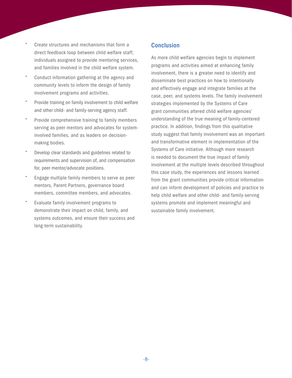- <span id="page-11-0"></span>• Create structures and mechanisms that form a direct feedback loop between child welfare staff, individuals assigned to provide mentoring services, and families involved in the child welfare system.
- Conduct information gathering at the agency and community levels to inform the design of family involvement programs and activities.
- Provide training on family involvement to child welfare and other child- and family-serving agency staff.
- Provide comprehensive training to family members serving as peer mentors and advocates for systeminvolved families, and as leaders on decisionmaking bodies.
- Develop clear standards and guidelines related to requirements and supervision of, and compensation for, peer mentor/advocate positions.
- Engage multiple family members to serve as peer mentors, Parent Partners, governance board members, committee members, and advocates.
- Evaluate family involvement programs to demonstrate their impact on child, family, and systems outcomes, and ensure their success and long-term sustainability.

#### **Conclusion**

As more child welfare agencies begin to implement programs and activities aimed at enhancing family involvement, there is a greater need to identify and disseminate best practices on how to intentionally and effectively engage and integrate families at the case, peer, and systems levels. The family involvement strategies implemented by the Systems of Care grant communities altered child welfare agencies' understanding of the true meaning of family-centered practice. In addition, findings from this qualitative study suggest that family involvement was an important and transformative element in implementation of the Systems of Care initiative. Although more research is needed to document the true impact of family involvement at the multiple levels described throughout this case study, the experiences and lessons learned from the grant communities provide critical information and can inform development of policies and practice to help child welfare and other child- and family-serving systems promote and implement meaningful and sustainable family involvement.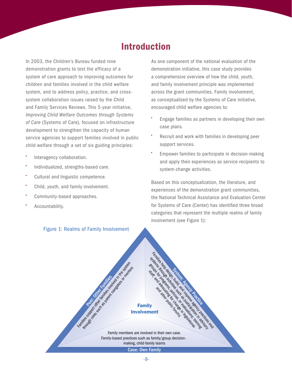### Introduction

<span id="page-12-0"></span>In 2003, the Children's Bureau funded nine demonstration grants to test the efficacy of a system of care approach to improving outcomes for children and families involved in the child welfare system, and to address policy, practice, and crosssystem collaboration issues raised by the Child and Family Services Reviews. This 5-year initiative, *Improving Child Welfare Outcomes through Systems of Care* (Systems of Care), focused on infrastructure development to strengthen the capacity of human service agencies to support families involved in public child welfare through a set of six guiding principles:

- Interagency collaboration.
- Individualized, strengths-based care.
- Cultural and linguistic competence.
- Child, youth, and family involvement.
- Community-based approaches.
- Accountability.

#### Figure 1: Realms of Family Involvement

As one component of the national evaluation of the demonstration initiative, this case study provides a comprehensive overview of how the child, youth, and family involvement principle was implemented across the grant communities. Family involvement, as conceptualized by the Systems of Care initiative, encouraged child welfare agencies to:

- Engage families as partners in developing their own case plans.
- Recruit and work with families in developing peer support services.
- Empower families to participate in decision-making and apply their experiences as service recipients to system-change activities.

Based on this conceptualization, the literature, and experiences of the demonstration grant communities, the National Technical Assistance and Evaluation Center for Systems of Care (Center) has identified three broad categories that represent the multiple realms of family involvement (see Figure 1):

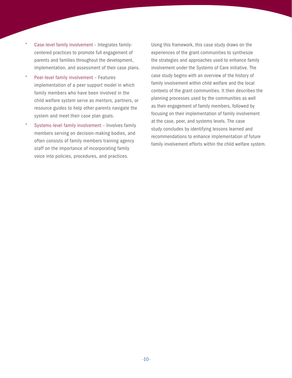- Case-level family involvement Integrates familycentered practices to promote full engagement of parents and families throughout the development, implementation, and assessment of their case plans.
- Peer-level family involvement Features implementation of a peer support model in which family members who have been involved in the child welfare system serve as mentors, partners, or resource guides to help other parents navigate the system and meet their case plan goals.
- Systems-level family involvement Involves family members serving on decision-making bodies, and often consists of family members training agency staff on the importance of incorporating family voice into policies, procedures, and practices.

Using this framework, this case study draws on the experiences of the grant communities to synthesize the strategies and approaches used to enhance family involvement under the Systems of Care initiative. The case study begins with an overview of the history of family involvement within child welfare and the local contexts of the grant communities. It then describes the planning processes used by the communities as well as their engagement of family members, followed by focusing on their implementation of family involvement at the case, peer, and systems levels. The case study concludes by identifying lessons learned and recommendations to enhance implementation of future family involvement efforts within the child welfare system.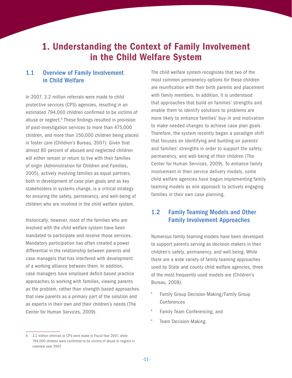### <span id="page-14-0"></span>1. Understanding the Context of Family Involvement in the Child Welfare System

#### 1.1 Overview of Family Involvement in Child Welfare

In 2007, 3.2 million referrals were made to child protective services (CPS) agencies, resulting in an estimated 794,000 children confirmed to be victims of abuse or neglect.<sup>6</sup> These findings resulted in provision of post-investigation services to more than 475,000 children, and more than 150,000 children being placed in foster care (Children's Bureau, 2007). Given that almost 80 percent of abused and neglected children will either remain or return to live with their families of origin (Administration for Children and Families, 2005), actively involving families as equal partners, both in development of case plan goals and as key stakeholders in systems change, is a critical strategy for ensuring the safety, permanency, and well-being of children who are involved in the child welfare system.

Historically, however, most of the families who are involved with the child welfare system have been mandated to participate and receive those services. Mandatory participation has often created a power differential in the relationship between parents and case managers that has interfered with development of a working alliance between them. In addition, case managers have employed deficit-based practice approaches to working with families, viewing parents as the problem, rather than strength-based approaches that view parents as a primary part of the solution and as experts in their own and their children's needs (The Center for Human Services, 2009).

6 3.2 million referrals to CPS were made in Fiscal Year 2007, while 794,000 children were confirmed to be victims of abuse or neglect in calendar year 2007.

The child welfare system recognizes that two of the most common permanency options for these children are reunification with their birth parents and placement with family members. In addition, it is understood that approaches that build on families' strengths and enable them to identify solutions to problems are more likely to enhance families' buy-in and motivation to make needed changes to achieve case plan goals. Therefore, the system recently began a paradigm shift that focuses on identifying and building on parents' and families' strengths in order to support the safety, permanency, and well-being of their children (The Center for Human Services, 2009). To enhance family involvement in their service delivery models, some child welfare agencies have begun implementing family teaming models as one approach to actively engaging families in their own case planning.

#### 1.2 Family Teaming Models and Other Family Involvement Approaches

Numerous family teaming models have been developed to support parents serving as decision-makers in their children's safety, permanency, and well-being. While there are a wide variety of family teaming approaches used by State and county child welfare agencies, three of the most frequently used models are (Children's Bureau, 2009):

- Family Group Decision-Making/Family Group Conferences
- Family Team Conferencing, and
- Team Decision-Making.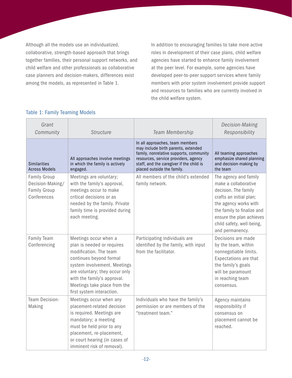<span id="page-15-0"></span>Although all the models use an individualized, collaborative, strength-based approach that brings together families, their personal support networks, and child welfare and other professionals as collaborative case planners and decision-makers, differences exist among the models, as represented in Table 1.

In addition to encouraging families to take more active roles in development of their case plans, child welfare agencies have started to enhance family involvement at the peer level. For example, some agencies have developed peer-to-peer support services where family members with prior system involvement provide support and resources to families who are currently involved in the child welfare system.

| Grant<br>Community                                                            | <b>Structure</b>                                                                                                                                                                                                                                                       | Team Membership                                                                                                                                                                                                                     | Decision-Making<br>Responsibility                                                                                                                                                                                                   |
|-------------------------------------------------------------------------------|------------------------------------------------------------------------------------------------------------------------------------------------------------------------------------------------------------------------------------------------------------------------|-------------------------------------------------------------------------------------------------------------------------------------------------------------------------------------------------------------------------------------|-------------------------------------------------------------------------------------------------------------------------------------------------------------------------------------------------------------------------------------|
| <b>Similarities</b><br><b>Across Models</b>                                   | All approaches involve meetings<br>in which the family is actively<br>engaged.                                                                                                                                                                                         | In all approaches, team members<br>may include birth parents, extended<br>family, nonrelative supports, community<br>resources, service providers, agency<br>staff, and the caregiver if the child is<br>placed outside the family. | All teaming approaches<br>emphasize shared planning<br>and decision-making by<br>the team                                                                                                                                           |
| <b>Family Group</b><br>Decision-Making/<br><b>Family Group</b><br>Conferences | Meetings are voluntary;<br>with the family's approval,<br>meetings occur to make<br>critical decisions or as<br>needed by the family. Private<br>family time is provided during<br>each meeting.                                                                       | All members of the child's extended<br>family network.                                                                                                                                                                              | The agency and family<br>make a collaborative<br>decision. The family<br>crafts an initial plan;<br>the agency works with<br>the family to finalize and<br>ensure the plan achieves<br>child safety, well-being,<br>and permanency. |
| Family Team<br>Conferencing                                                   | Meetings occur when a<br>plan is needed or requires<br>modification. The team<br>continues beyond formal<br>system involvement. Meetings<br>are voluntary; they occur only<br>with the family's approval.<br>Meetings take place from the<br>first system interaction. | Participating individuals are<br>identified by the family, with input<br>from the facilitator.                                                                                                                                      | Decisions are made<br>by the team, within<br>nonnegotiable limits.<br>Expectations are that<br>the family's goals<br>will be paramount<br>in reaching team<br>consensus.                                                            |
| Team Decision-<br>Making                                                      | Meetings occur when any<br>placement-related decision<br>is required. Meetings are<br>mandatory; a meeting<br>must be held prior to any<br>placement, re-placement,<br>or court hearing (in cases of<br>imminent risk of removal).                                     | Individuals who have the family's<br>permission or are members of the<br>"treatment team."                                                                                                                                          | Agency maintains<br>responsibility if<br>consensus on<br>placement cannot be<br>reached.                                                                                                                                            |

#### Table 1: Family Teaming Models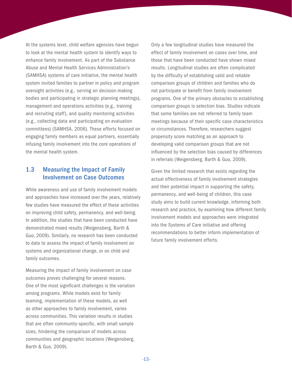<span id="page-16-0"></span>At the systems level, child welfare agencies have begun to look at the mental health system to identify ways to enhance family involvement. As part of the Substance Abuse and Mental Health Services Administration's (SAMHSA) systems of care initiative, the mental health system invited families to partner in policy and program oversight activities (e.g., serving on decision-making bodies and participating in strategic planning meetings), management and operations activities (e.g., training and recruiting staff), and quality monitoring activities (e.g., collecting data and participating on evaluation committees) (SAMHSA, 2006). These efforts focused on engaging family members as equal partners, essentially infusing family involvement into the core operations of the mental health system.

#### 1.3 Measuring the Impact of Family Involvement on Case Outcomes

While awareness and use of family involvement models and approaches have increased over the years, relatively few studies have measured the effect of these activities on improving child safety, permanency, and well-being. In addition, the studies that have been conducted have demonstrated mixed results (Weigensberg, Barth & Guo, 2009). Similarly, no research has been conducted to date to assess the impact of family involvement on systems and organizational change, or on child and family outcomes.

Measuring the impact of family involvement on case outcomes proves challenging for several reasons. One of the most significant challenges is the variation among programs. While models exist for family teaming, implementation of these models, as well as other approaches to family involvement, varies across communities. This variation results in studies that are often community-specific, with small sample sizes, hindering the comparison of models across communities and geographic locations (Weigensberg, Barth & Guo, 2009).

Only a few longitudinal studies have measured the effect of family involvement on cases over time, and those that have been conducted have shown mixed results. Longitudinal studies are often complicated by the difficulty of establishing valid and reliable comparison groups of children and families who do not participate or benefit from family involvement programs. One of the primary obstacles to establishing comparison groups is selection bias. Studies indicate that some families are not referred to family team meetings because of their specific case characteristics or circumstances. Therefore, researchers suggest propensity score matching as an approach to developing valid comparison groups that are not influenced by the selection bias caused by differences in referrals (Weigensberg, Barth & Guo, 2009).

Given the limited research that exists regarding the actual effectiveness of family involvement strategies and their potential impact in supporting the safety, permanency, and well-being of children, this case study aims to build current knowledge, informing both research and practice, by examining how different family involvement models and approaches were integrated into the Systems of Care initiative and offering recommendations to better inform implementation of future family involvement efforts.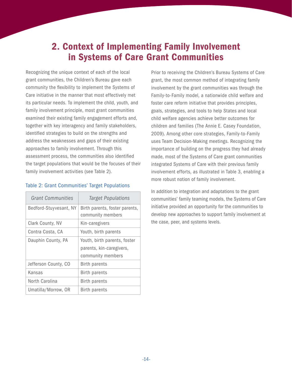### <span id="page-17-0"></span>2. Context of Implementing Family Involvement in Systems of Care Grant Communities

Recognizing the unique context of each of the local grant communities, the Children's Bureau gave each community the flexibility to implement the Systems of Care initiative in the manner that most effectively met its particular needs. To implement the child, youth, and family involvement principle, most grant communities examined their existing family engagement efforts and, together with key interagency and family stakeholders, identified strategies to build on the strengths and address the weaknesses and gaps of their existing approaches to family involvement. Through this assessment process, the communities also identified the target populations that would be the focuses of their family involvement activities (see Table 2).

| <b>Grant Communities</b> | <b>Target Populations</b>                           |
|--------------------------|-----------------------------------------------------|
| Bedford-Stuyvesant, NY   | Birth parents, foster parents,<br>community members |
| Clark County, NV         | Kin-caregivers                                      |
| Contra Costa, CA         | Youth, birth parents                                |
| Dauphin County, PA       | Youth, birth parents, foster                        |
|                          | parents, kin-caregivers,                            |
|                          | community members                                   |
| Jefferson County, CO     | Birth parents                                       |
| Kansas                   | <b>Birth parents</b>                                |
| North Carolina           | Birth parents                                       |
| Umatilla/Morrow, OR      | Birth parents                                       |

#### Table 2: Grant Communities' Target Populations

Prior to receiving the Children's Bureau Systems of Care grant, the most common method of integrating family involvement by the grant communities was through the Family-to-Family model, a nationwide child welfare and foster care reform initiative that provides principles, goals, strategies, and tools to help States and local child welfare agencies achieve better outcomes for children and families (The Annie E. Casey Foundation, 2009). Among other core strategies, Family-to-Family uses Team Decision-Making meetings. Recognizing the importance of building on the progress they had already made, most of the Systems of Care grant communities integrated Systems of Care with their previous family involvement efforts, as illustrated in Table 3, enabling a more robust notion of family involvement.

In addition to integration and adaptations to the grant communities' family teaming models, the Systems of Care initiative provided an opportunity for the communities to develop new approaches to support family involvement at the case, peer, and systems levels.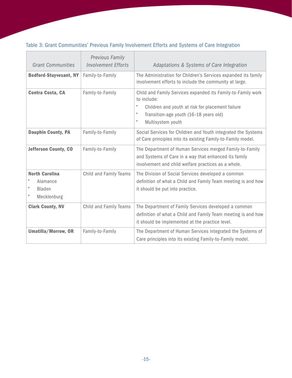#### <span id="page-18-0"></span>Table 3: Grant Communities' Previous Family Involvement Efforts and Systems of Care Integration

ŗ.

| <b>Grant Communities</b>                                          | <b>Previous Family</b><br><b>Involvement Efforts</b> | Adaptations & Systems of Care Integration                                                                                                                                                                |
|-------------------------------------------------------------------|------------------------------------------------------|----------------------------------------------------------------------------------------------------------------------------------------------------------------------------------------------------------|
| <b>Bedford-Stuyvesant, NY</b>                                     | Family-to-Family                                     | The Administration for Children's Services expanded its family<br>involvement efforts to include the community at large.                                                                                 |
| Contra Costa, CA                                                  | Family-to-Family                                     | Child and Family Services expanded its Family-to-Family work<br>to include:<br>Children and youth at risk for placement failure<br>٠<br>Transition-age youth (16-18 years old)<br>Multisystem youth<br>٠ |
| <b>Dauphin County, PA</b>                                         | Family-to-Family                                     | Social Services for Children and Youth integrated the Systems<br>of Care principles into its existing Family-to-Family model.                                                                            |
| <b>Jefferson County, CO</b>                                       | Family-to-Family                                     | The Department of Human Services merged Family-to-Family<br>and Systems of Care in a way that enhanced its family<br>involvement and child welfare practices as a whole.                                 |
| <b>North Carolina</b><br>Alamance<br><b>Bladen</b><br>Mecklenburg | Child and Family Teams                               | The Division of Social Services developed a common<br>definition of what a Child and Family Team meeting is and how<br>it should be put into practice.                                                   |
| <b>Clark County, NV</b>                                           | Child and Family Teams                               | The Department of Family Services developed a common<br>definition of what a Child and Family Team meeting is and how<br>it should be implemented at the practice level.                                 |
| Umatilla/Morrow, OR                                               | Family-to-Family                                     | The Department of Human Services integrated the Systems of<br>Care principles into its existing Family-to-Family model.                                                                                  |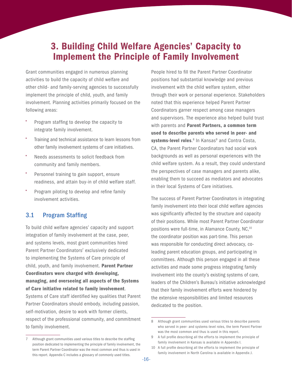### <span id="page-19-0"></span>3. Building Child Welfare Agencies' Capacity to Implement the Principle of Family Involvement

Grant communities engaged in numerous planning activities to build the capacity of child welfare and other child- and family-serving agencies to successfully implement the principle of child, youth, and family involvement. Planning activities primarily focused on the following areas:

- Program staffing to develop the capacity to integrate family involvement.
- Training and technical assistance to learn lessons from other family involvement systems of care initiatives.
- Needs assessments to solicit feedback from community and family members.
- Personnel training to gain support, ensure readiness, and attain buy-in of child welfare staff.
- Program piloting to develop and refine family involvement activities.

#### 3.1 Program Staffing

To build child welfare agencies' capacity and support integration of family involvement at the case, peer, and systems levels, most grant communities hired Parent Partner Coordinators<sup>7</sup> exclusively dedicated to implementing the Systems of Care principle of child, youth, and family involvement. Parent Partner Coordinators were charged with developing, managing, and overseeing all aspects of the Systems of Care initiative related to family involvement. Systems of Care staff identified key qualities that Parent

Partner Coordinators should embody, including passion, self-motivation, desire to work with former clients, respect of the professional community, and commitment to family involvement.

People hired to fill the Parent Partner Coordinator positions had substantial knowledge and previous involvement with the child welfare system, either through their work or personal experience. Stakeholders noted that this experience helped Parent Partner Coordinators garner respect among case managers and supervisors. The experience also helped build trust with parents and Parent Partners, a common term used to describe parents who served in peer- and systems-level roles.<sup>8</sup> In Kansas<sup>9</sup> and Contra Costa, CA, the Parent Partner Coordinators had social work backgrounds as well as personal experiences with the child welfare system. As a result, they could understand the perspectives of case managers and parents alike, enabling them to succeed as mediators and advocates in their local Systems of Care initiatives.

The success of Parent Partner Coordinators in integrating family involvement into their local child welfare agencies was significantly affected by the structure and capacity of their positions. While most Parent Partner Coordinator positions were full-time, in Alamance County, NC.<sup>10</sup> the coordinator position was part-time. This person was responsible for conducting direct advocacy, coleading parent education groups, and participating in committees. Although this person engaged in all these activities and made some progress integrating family involvement into the county's existing systems of care, leaders of the Children's Bureau's initiative acknowledged that their family involvement efforts were hindered by the extensive responsibilities and limited resources dedicated to the position.

<sup>7</sup> Although grant communities used various titles to describe the staffing position dedicated to implementing the principle of family involvement, the term Parent Partner Coordinator was the most common and thus is used in this report. Appendix C includes a glossary of commonly used titles.

<sup>8</sup> Although grant communities used various titles to describe parents who served in peer- and systems-level roles, the term Parent Partner was the most common and thus is used in this report.

<sup>9</sup> A full profile describing all the efforts to implement the principle of family involvement in Kansas is available in Appendix I.

<sup>10</sup> A full profile describing all the efforts to implement the principle of family involvement in North Carolina is available in Appendix J.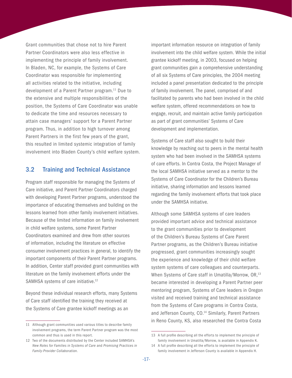<span id="page-20-0"></span>Grant communities that chose not to hire Parent Partner Coordinators were also less effective in implementing the principle of family involvement. In Bladen, NC, for example, the Systems of Care Coordinator was responsible for implementing all activities related to the initiative, including development of a Parent Partner program.11 Due to the extensive and multiple responsibilities of the position, the Systems of Care Coordinator was unable to dedicate the time and resources necessary to attain case managers' support for a Parent Partner program. Thus, in addition to high turnover among Parent Partners in the first few years of the grant, this resulted in limited systemic integration of family involvement into Bladen County's child welfare system.

#### 3.2 Training and Technical Assistance

Program staff responsible for managing the Systems of Care initiative, and Parent Partner Coordinators charged with developing Parent Partner programs, understood the importance of educating themselves and building on the lessons learned from other family involvement initiatives. Because of the limited information on family involvement in child welfare systems, some Parent Partner Coordinators examined and drew from other sources of information, including the literature on effective consumer involvement practices in general, to identify the important components of their Parent Partner programs. In addition, Center staff provided grant communities with literature on the family involvement efforts under the SAMHSA systems of care initiative.<sup>12</sup>

Beyond these individual research efforts, many Systems of Care staff identified the training they received at the Systems of Care grantee kickoff meetings as an

important information resource on integration of family involvement into the child welfare system. While the initial grantee kickoff meeting, in 2003, focused on helping grant communities gain a comprehensive understanding of all six Systems of Care principles, the 2004 meeting included a panel presentation dedicated to the principle of family involvement. The panel, comprised of and facilitated by parents who had been involved in the child welfare system, offered recommendations on how to engage, recruit, and maintain active family participation as part of grant communities' Systems of Care development and implementation.

Systems of Care staff also sought to build their knowledge by reaching out to peers in the mental health system who had been involved in the SAMHSA systems of care efforts. In Contra Costa, the Project Manager of the local SAMHSA initiative served as a mentor to the Systems of Care Coordinator for the Children's Bureau initiative, sharing information and lessons learned regarding the family involvement efforts that took place under the SAMHSA initiative.

Although some SAMHSA systems of care leaders provided important advice and technical assistance to the grant communities prior to development of the Children's Bureau Systems of Care Parent Partner programs, as the Children's Bureau initiative progressed, grant communities increasingly sought the experience and knowledge of their child welfare system systems of care colleagues and counterparts. When Systems of Care staff in Umatilla/Morrow, OR,<sup>13</sup> became interested in developing a Parent Partner peer mentoring program, Systems of Care leaders in Oregon visited and received training and technical assistance from the Systems of Care programs in Contra Costa, and Jefferson County, CO.<sup>14</sup> Similarly, Parent Partners in Reno County, KS, also researched the Contra Costa

<sup>11</sup> Although grant communities used various titles to describe family involvement programs, the term Parent Partner program was the most common and thus is used in this report.

<sup>12</sup> Two of the documents distributed by the Center included SAMHSA's *New Roles for Families in Systems of Care* and *Promising Practices in Family-Provider Collaboration.*

<sup>13</sup> A full profile describing all the efforts to implement the principle of family involvement in Umatilla/Morrow, is available in Appendix K.

<sup>14</sup> A full profile describing all the efforts to implement the principle of family involvement in Jefferson County is available in Appendix H.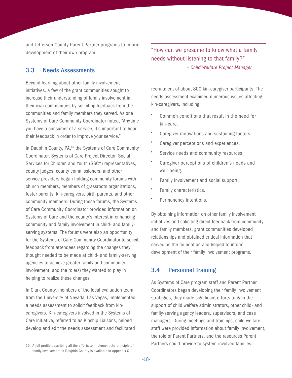<span id="page-21-0"></span>and Jefferson County Parent Partner programs to inform development of their own program.

#### 3.3 Needs Assessments

Beyond learning about other family involvement initiatives, a few of the grant communities sought to increase their understanding of family involvement in their own communities by soliciting feedback from the communities and family members they served. As one Systems of Care Community Coordinator noted, "Anytime you have a consumer of a service, it's important to hear their feedback in order to improve your service."

In Dauphin County, PA,<sup>15</sup> the Systems of Care Community Coordinator, Systems of Care Project Director, Social Services for Children and Youth (SSCY) representatives, county judges, county commissioners, and other service providers began holding community forums with church members, members of grassroots organizations, foster parents, kin-caregivers, birth parents, and other community members. During these forums, the Systems of Care Community Coordinator provided information on Systems of Care and the county's interest in enhancing community and family involvement in child- and familyserving systems. The forums were also an opportunity for the Systems of Care Community Coordinator to solicit feedback from attendees regarding the changes they thought needed to be made at child- and family-serving agencies to achieve greater family and community involvement, and the role(s) they wanted to play in helping to realize these changes.

In Clark County, members of the local evaluation team from the University of Nevada, Las Vegas, implemented a needs assessment to solicit feedback from kincaregivers. Kin-caregivers involved in the Systems of Care initiative, referred to as Kinship Liaisons, helped develop and edit the needs assessment and facilitated "How can we presume to know what a family needs without listening to that family?"  *– Child Welfare Project Manager*

recruitment of about 800 kin-caregiver participants. The needs assessment examined numerous issues affecting kin-caregivers, including:

- Common conditions that result in the need for kin-care.
- Caregiver motivations and sustaining factors.
- Caregiver perceptions and experiences.
- Service needs and community resources.
- Caregiver perceptions of children's needs and well-being.
- Family involvement and social support.
- Family characteristics.
- Permanency intentions.

By obtaining information on other family involvement initiatives and soliciting direct feedback from community and family members, grant communities developed relationships and obtained critical information that served as the foundation and helped to inform development of their family involvement programs.

#### 3.4 Personnel Training

As Systems of Care program staff and Parent Partner Coordinators began developing their family involvement strategies, they made significant efforts to gain the support of child welfare administrators, other child- and family-serving agency leaders, supervisors, and case managers. During meetings and trainings, child welfare staff were provided information about family involvement, the role of Parent Partners, and the resources Parent Partners could provide to system-involved families.

<sup>15</sup> A full profile describing all the efforts to implement the principle of family involvement in Dauphin County is available in Appendix G.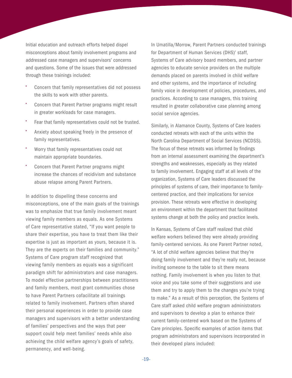Initial education and outreach efforts helped dispel misconceptions about family involvement programs and addressed case managers and supervisors' concerns and questions. Some of the issues that were addressed through these trainings included:

- Concern that family representatives did not possess the skills to work with other parents.
- Concern that Parent Partner programs might result in greater workloads for case managers.
- Fear that family representatives could not be trusted.
- Anxiety about speaking freely in the presence of family representatives.
- Worry that family representatives could not maintain appropriate boundaries.
- Concern that Parent Partner programs might increase the chances of recidivism and substance abuse relapse among Parent Partners.

In addition to dispelling these concerns and misconceptions, one of the main goals of the trainings was to emphasize that true family involvement meant viewing family members as equals. As one Systems of Care representative stated, "If you want people to share their expertise, you have to treat them like their expertise is just as important as yours, because it is. They are the experts on their families and community." Systems of Care program staff recognized that viewing family members as equals was a significant paradigm shift for administrators and case managers. To model effective partnerships between practitioners and family members, most grant communities chose to have Parent Partners cofacilitate all trainings related to family involvement. Partners often shared their personal experiences in order to provide case managers and supervisors with a better understanding of families' perspectives and the ways that peer support could help meet families' needs while also achieving the child welfare agency's goals of safety, permanency, and well-being.

In Umatilla/Morrow, Parent Partners conducted trainings for Department of Human Services (DHS)' staff, Systems of Care advisory board members, and partner agencies to educate service providers on the multiple demands placed on parents involved in child welfare and other systems, and the importance of including family voice in development of policies, procedures, and practices. According to case managers, this training resulted in greater collaborative case planning among social service agencies.

Similarly, in Alamance County, Systems of Care leaders conducted retreats with each of the units within the North Carolina Department of Social Services (NCDSS). The focus of these retreats was informed by findings from an internal assessment examining the department's strengths and weaknesses, especially as they related to family involvement. Engaging staff at all levels of the organization, Systems of Care leaders discussed the principles of systems of care, their importance to familycentered practice, and their implications for service provision. These retreats were effective in developing an environment within the department that facilitated systems change at both the policy and practice levels.

In Kansas, Systems of Care staff realized that child welfare workers believed they were already providing family-centered services. As one Parent Partner noted, "A lot of child welfare agencies believe that they're doing family involvement and they're really not, because inviting someone to the table to sit there means nothing. Family involvement is when you listen to that voice and you take some of their suggestions and use them and try to apply them to the changes you're trying to make." As a result of this perception, the Systems of Care staff asked child welfare program administrators and supervisors to develop a plan to enhance their current family-centered work based on the Systems of Care principles. Specific examples of action items that program administrators and supervisors incorporated in their developed plans included: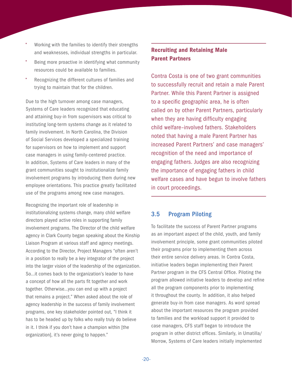- <span id="page-23-0"></span>• Working with the families to identify their strengths and weaknesses, individual strengths in particular.
- Being more proactive in identifying what community resources could be available to families.
- Recognizing the different cultures of families and trying to maintain that for the children.

Due to the high turnover among case managers, Systems of Care leaders recognized that educating and attaining buy-in from supervisors was critical to instituting long-term systems change as it related to family involvement. In North Carolina, the Division of Social Services developed a specialized training for supervisors on how to implement and support case managers in using family-centered practice. In addition, Systems of Care leaders in many of the grant communities sought to institutionalize family involvement programs by introducing them during new employee orientations. This practice greatly facilitated use of the programs among new case managers.

Recognizing the important role of leadership in institutionalizing systems change, many child welfare directors played active roles in supporting family involvement programs. The Director of the child welfare agency in Clark County began speaking about the Kinship Liaison Program at various staff and agency meetings. According to the Director, Project Managers "often aren't in a position to really be a key integrator of the project into the larger vision of the leadership of the organization. So…it comes back to the organization's leader to have a concept of how all the parts fit together and work together. Otherwise…you can end up with a project that remains a project." When asked about the role of agency leadership in the success of family involvement programs, one key stakeholder pointed out, "I think it has to be headed up by folks who really truly do believe in it. I think if you don't have a champion within [the organization], it's never going to happen."

#### Recruiting and Retaining Male Parent Partners

Contra Costa is one of two grant communities to successfully recruit and retain a male Parent Partner. While this Parent Partner is assigned to a specific geographic area, he is often called on by other Parent Partners, particularly when they are having difficulty engaging child welfare–involved fathers. Stakeholders noted that having a male Parent Partner has increased Parent Partners' and case managers' recognition of the need and importance of engaging fathers. Judges are also recognizing the importance of engaging fathers in child welfare cases and have begun to involve fathers in court proceedings.

#### 3.5 Program Piloting

To facilitate the success of Parent Partner programs as an important aspect of the child, youth, and family involvement principle, some grant communities piloted their programs prior to implementing them across their entire service delivery areas. In Contra Costa, initiative leaders began implementing their Parent Partner program in the CFS Central Office. Piloting the program allowed initiative leaders to develop and refine all the program components prior to implementing it throughout the county. In addition, it also helped generate buy-in from case managers. As word spread about the important resources the program provided to families and the workload support it provided to case managers, CFS staff began to introduce the program in other district offices. Similarly, in Umatilla/ Morrow, Systems of Care leaders initially implemented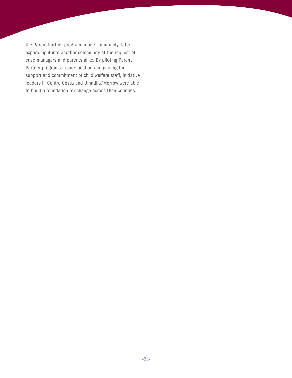the Parent Partner program in one community, later expanding it into another community at the request of case managers and parents alike. By piloting Parent Partner programs in one location and gaining the support and commitment of child welfare staff, initiative leaders in Contra Costa and Umatilla/Morrow were able to build a foundation for change across their counties.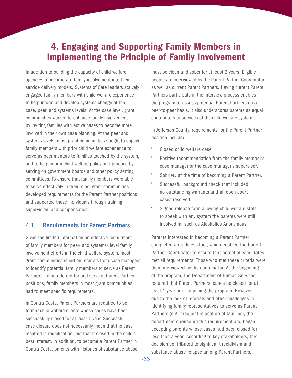### <span id="page-25-0"></span>4. Engaging and Supporting Family Members in Implementing the Principle of Family Involvement

In addition to building the capacity of child welfare agencies to incorporate family involvement into their service delivery models, Systems of Care leaders actively engaged family members with child welfare experience to help inform and develop systems change at the case, peer, and systems levels. At the case level, grant communities worked to enhance family involvement by inviting families with active cases to become more involved in their own case planning. At the peer and systems levels, most grant communities sought to engage family members with prior child welfare experience to serve as peer mentors to families touched by the system, and to help inform child welfare policy and practice by serving on government boards and other policy setting committees. To ensure that family members were able to serve effectively in their roles, grant communities developed requirements for the Parent Partner positions and supported these individuals through training, supervision, and compensation.

#### 4.1 Requirements for Parent Partners

Given the limited information on effective recruitment of family members for peer- and systems- level family involvement efforts in the child welfare system, most grant communities relied on referrals from case managers to identify potential family members to serve as Parent Partners. To be referred for and serve in Parent Partner positions, family members in most grant communities had to meet specific requirements.

In Contra Costa, Parent Partners are required to be former child welfare clients whose cases have been successfully closed for at least 1 year. Successful case closure does not necessarily mean that the case resulted in reunification, but that it closed in the child's best interest. In addition, to become a Parent Partner in Contra Costa, parents with histories of substance abuse

must be clean and sober for at least 2 years. Eligible people are interviewed by the Parent Partner Coordinator as well as current Parent Partners. Having current Parent Partners participate in the interview process enables the program to assess potential Parent Partners on a peer-to-peer basis. It also underscores parents as equal contributors to services of the child welfare system.

In Jefferson County, requirements for the Parent Partner position included:

- Closed child welfare case.
- Positive recommendation from the family member's case manager or the case manager's supervisor.
- Sobriety at the time of becoming a Parent Partner.
- Successful background check that included no outstanding warrants and all open court cases resolved.
- Signed release form allowing child welfare staff to speak with any system the parents were still involved in, such as Alcoholics Anonymous.

Parents interested in becoming a Parent Partner completed a readiness tool, which enabled the Parent Partner Coordinator to ensure that potential candidates met all requirements. Those who met these criteria were then interviewed by the coordinator. At the beginning of the program, the Department of Human Services required that Parent Partners' cases be closed for at least 1 year prior to joining the program. However, due to the lack of referrals and other challenges in identifying family representatives to serve as Parent Partners (e.g., frequent relocation of families), the department opened up this requirement and began accepting parents whose cases had been closed for less than a year. According to key stakeholders, this decision contributed to significant recidivism and substance abuse relapse among Parent Partners.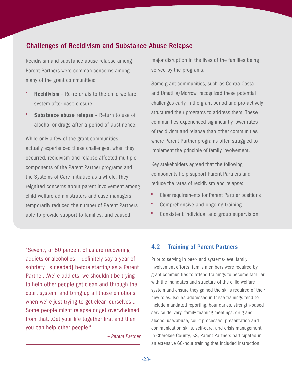#### <span id="page-26-0"></span>Challenges of Recidivism and Substance Abuse Relapse

Recidivism and substance abuse relapse among Parent Partners were common concerns among many of the grant communities:

- **Recidivism** Re-referrals to the child welfare system after case closure.
- **Substance abuse relapse** Return to use of alcohol or drugs after a period of abstinence.

While only a few of the grant communities actually experienced these challenges, when they occurred, recidivism and relapse affected multiple components of the Parent Partner programs and the Systems of Care initiative as a whole. They reignited concerns about parent involvement among child welfare administrators and case managers, temporarily reduced the number of Parent Partners able to provide support to families, and caused

major disruption in the lives of the families being served by the programs.

Some grant communities, such as Contra Costa and Umatilla/Morrow, recognized these potential challenges early in the grant period and pro-actively structured their programs to address them. These communities experienced significantly lower rates of recidivism and relapse than other communities where Parent Partner programs often struggled to implement the principle of family involvement.

Key stakeholders agreed that the following components help support Parent Partners and reduce the rates of recidivism and relapse:

- Clear requirements for Parent Partner positions
- Comprehensive and ongoing training
- Consistent individual and group supervision

"Seventy or 80 percent of us are recovering addicts or alcoholics. I definitely say a year of sobriety [is needed] before starting as a Parent Partner…We're addicts; we shouldn't be trying to help other people get clean and through the court system, and bring up all those emotions when we're just trying to get clean ourselves… Some people might relapse or get overwhelmed from that…Get your life together first and then you can help other people."

*– Parent Partner*

#### 4.2 Training of Parent Partners

Prior to serving in peer- and systems-level family involvement efforts, family members were required by grant communities to attend trainings to become familiar with the mandates and structure of the child welfare system and ensure they gained the skills required of their new roles. Issues addressed in these trainings tend to include mandated reporting, boundaries, strength-based service delivery, family teaming meetings, drug and alcohol use/abuse, court processes, presentation and communication skills, self-care, and crisis management. In Cherokee County, KS, Parent Partners participated in an extensive 60-hour training that included instruction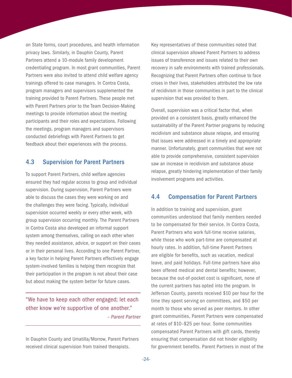<span id="page-27-0"></span>on State forms, court procedures, and health information privacy laws. Similarly, in Dauphin County, Parent Partners attend a 10-module family development credentialing program. In most grant communities, Parent Partners were also invited to attend child welfare agency trainings offered to case managers. In Contra Costa, program managers and supervisors supplemented the training provided to Parent Partners. These people met with Parent Partners prior to the Team Decision-Making meetings to provide information about the meeting participants and their roles and expectations. Following the meetings, program managers and supervisors conducted debriefings with Parent Partners to get feedback about their experiences with the process.

#### 4.3 Supervision for Parent Partners

To support Parent Partners, child welfare agencies ensured they had regular access to group and individual supervision. During supervision, Parent Partners were able to discuss the cases they were working on and the challenges they were facing. Typically, individual supervision occurred weekly or every other week, with group supervision occurring monthly. The Parent Partners in Contra Costa also developed an informal support system among themselves, calling on each other when they needed assistance, advice, or support on their cases or in their personal lives. According to one Parent Partner, a key factor in helping Parent Partners effectively engage system-involved families is helping them recognize that their participation in the program is not about their case but about making the system better for future cases.

"We have to keep each other engaged; let each other know we're supportive of one another." *– Parent Partner*

In Dauphin County and Umatilla/Morrow, Parent Partners received clinical supervision from trained therapists.

Key representatives of these communities noted that clinical supervision allowed Parent Partners to address issues of transference and issues related to their own recovery in safe environments with trained professionals. Recognizing that Parent Partners often continue to face crises in their lives, stakeholders attributed the low rate of recidivism in those communities in part to the clinical supervision that was provided to them.

Overall, supervision was a critical factor that, when provided on a consistent basis, greatly enhanced the sustainability of the Parent Partner programs by reducing recidivism and substance abuse relapse, and ensuring that issues were addressed in a timely and appropriate manner. Unfortunately, grant communities that were not able to provide comprehensive, consistent supervision saw an increase in recidivism and substance abuse relapse, greatly hindering implementation of their family involvement programs and activities.

#### 4.4 Compensation for Parent Partners

In addition to training and supervision, grant communities understood that family members needed to be compensated for their service. In Contra Costa, Parent Partners who work full-time receive salaries, while those who work part-time are compensated at hourly rates. In addition, full-time Parent Partners are eligible for benefits, such as vacation, medical leave, and paid holidays. Full-time partners have also been offered medical and dental benefits; however, because the out-of-pocket cost is significant, none of the current partners has opted into the program. In Jefferson County, parents received \$10 per hour for the time they spent serving on committees, and \$50 per month to those who served as peer mentors. In other grant communities, Parent Partners were compensated at rates of \$10–\$25 per hour. Some communities compensated Parent Partners with gift cards, thereby ensuring that compensation did not hinder eligibility for government benefits. Parent Partners in most of the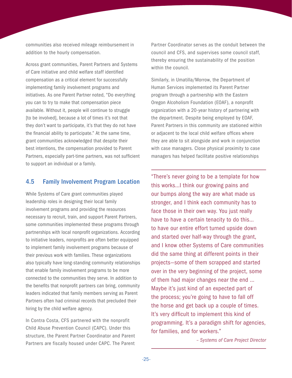<span id="page-28-0"></span>communities also received mileage reimbursement in addition to the hourly compensation.

Across grant communities, Parent Partners and Systems of Care initiative and child welfare staff identified compensation as a critical element for successfully implementing family involvement programs and initiatives. As one Parent Partner noted, "Do everything you can to try to make that compensation piece available. Without it, people will continue to struggle [to be involved], because a lot of times it's not that they don't want to participate, it's that they do not have the financial ability to participate." At the same time, grant communities acknowledged that despite their best intentions, the compensation provided to Parent Partners, especially part-time partners, was not sufficient to support an individual or a family.

#### 4.5 Family Involvement Program Location

While Systems of Care grant communities played leadership roles in designing their local family involvement programs and providing the resources necessary to recruit, train, and support Parent Partners, some communities implemented these programs through partnerships with local nonprofit organizations. According to initiative leaders, nonprofits are often better equipped to implement family involvement programs because of their previous work with families. These organizations also typically have long-standing community relationships that enable family involvement programs to be more connected to the communities they serve. In addition to the benefits that nonprofit partners can bring, community leaders indicated that family members serving as Parent Partners often had criminal records that precluded their hiring by the child welfare agency.

In Contra Costa, CFS partnered with the nonprofit Child Abuse Prevention Council (CAPC). Under this structure, the Parent Partner Coordinator and Parent Partners are fiscally housed under CAPC. The Parent

Partner Coordinator serves as the conduit between the council and CFS, and supervises some council staff, thereby ensuring the sustainability of the position within the council.

Similarly, in Umatilla/Morrow, the Department of Human Services implemented its Parent Partner program through a partnership with the Eastern Oregon Alcoholism Foundation (EOAF), a nonprofit organization with a 20-year history of partnering with the department. Despite being employed by EOAF, Parent Partners in this community are stationed within or adjacent to the local child welfare offices where they are able to sit alongside and work in conjunction with case managers. Close physical proximity to case managers has helped facilitate positive relationships

"There's never going to be a template for how this works…I think our growing pains and our bumps along the way are what made us stronger, and I think each community has to face those in their own way. You just really have to have a certain tenacity to do this… to have our entire effort turned upside down and started over half-way through the grant, and I know other Systems of Care communities did the same thing at different points in their projects—some of them scrapped and started over in the very beginning of the project, some of them had major changes near the end … Maybe it's just kind of an expected part of the process; you're going to have to fall off the horse and get back up a couple of times. It's very difficult to implement this kind of programming. It's a paradigm shift for agencies, for families, and for workers."

*– Systems of Care Project Director*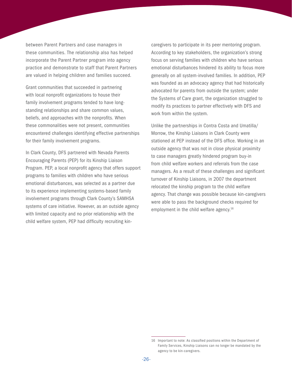between Parent Partners and case managers in these communities. The relationship also has helped incorporate the Parent Partner program into agency practice and demonstrate to staff that Parent Partners are valued in helping children and families succeed.

Grant communities that succeeded in partnering with local nonprofit organizations to house their family involvement programs tended to have longstanding relationships and share common values, beliefs, and approaches with the nonprofits. When these commonalities were not present, communities encountered challenges identifying effective partnerships for their family involvement programs.

In Clark County, DFS partnered with Nevada Parents Encouraging Parents (PEP) for its Kinship Liaison Program. PEP, a local nonprofit agency that offers support programs to families with children who have serious emotional disturbances, was selected as a partner due to its experience implementing systems-based family involvement programs through Clark County's SAMHSA systems of care initiative. However, as an outside agency with limited capacity and no prior relationship with the child welfare system, PEP had difficulty recruiting kin-

caregivers to participate in its peer mentoring program. According to key stakeholders, the organization's strong focus on serving families with children who have serious emotional disturbances hindered its ability to focus more generally on all system-involved families. In addition, PEP was founded as an advocacy agency that had historically advocated for parents from outside the system; under the Systems of Care grant, the organization struggled to modify its practices to partner effectively with DFS and work from within the system.

Unlike the partnerships in Contra Costa and Umatilla/ Morrow, the Kinship Liaisons in Clark County were stationed at PEP instead of the DFS office. Working in an outside agency that was not in close physical proximity to case managers greatly hindered program buy-in from child welfare workers and referrals from the case managers. As a result of these challenges and significant turnover of Kinship Liaisons, in 2007 the department relocated the kinship program to the child welfare agency. That change was possible because kin-caregivers were able to pass the background checks required for employment in the child welfare agency.<sup>16</sup>

<sup>16</sup> Important to note: As classified positions within the Department of Family Services, Kinship Liaisons can no longer be mandated by the agency to be kin-caregivers.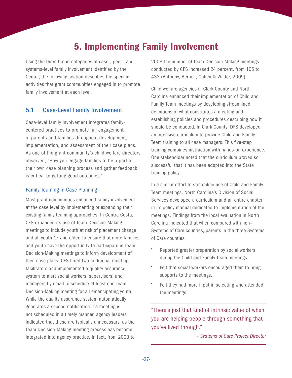### 5. Implementing Family Involvement

<span id="page-30-0"></span>Using the three broad categories of case-, peer-, and systems-level family involvement identified by the Center, the following section describes the specific activities that grant communities engaged in to promote family involvement at each level.

#### 5.1 Case-Level Family Involvement

Case-level family involvement integrates familycentered practices to promote full engagement of parents and families throughout development, implementation, and assessment of their case plans. As one of the grant community's child welfare directors observed, "How you engage families to be a part of their own case planning process and gather feedback is critical to getting good outcomes."

#### Family Teaming in Case Planning

Most grant communities enhanced family involvement at the case level by implementing or expanding their existing family teaming approaches. In Contra Costa, CFS expanded its use of Team Decision-Making meetings to include youth at risk of placement change and all youth 17 and older. To ensure that more families and youth have the opportunity to participate in Team Decision-Making meetings to inform development of their case plans, CFS hired two additional meeting facilitators and implemented a quality assurance system to alert social workers, supervisors, and managers by email to schedule at least one Team Decision-Making meeting for all emancipating youth. While the quality assurance system automatically generates a second notification if a meeting is not scheduled in a timely manner, agency leaders indicated that these are typically unnecessary, as the Team Decision-Making meeting process has become integrated into agency practice. In fact, from 2003 to

2008 the number of Team Decision-Making meetings conducted by CFS increased 24 percent, from 105 to 433 (Anthony, Berrick, Cohen & Wilder, 2009).

Child welfare agencies in Clark County and North Carolina enhanced their implementation of Child and Family Team meetings by developing streamlined definitions of what constitutes a meeting and establishing policies and procedures describing how it should be conducted. In Clark County, DFS developed an intensive curriculum to provide Child and Family Team training to all case managers. This five-step training combines instruction with hands-on experience. One stakeholder noted that the curriculum proved so successful that it has been adopted into the State training policy.

In a similar effort to streamline use of Child and Family Team meetings, North Carolina's Division of Social Services developed a curriculum and an entire chapter in its policy manual dedicated to implementation of the meetings. Findings from the local evaluation in North Carolina indicated that when compared with non– Systems of Care counties, parents in the three Systems of Care counties:

- Reported greater preparation by social workers during the Child and Family Team meetings.
- Felt that social workers encouraged them to bring supports to the meetings.
- Felt they had more input in selecting who attended the meetings.

"There's just that kind of intrinsic value of when you are helping people through something that you've lived through."

*– Systems of Care Project Director*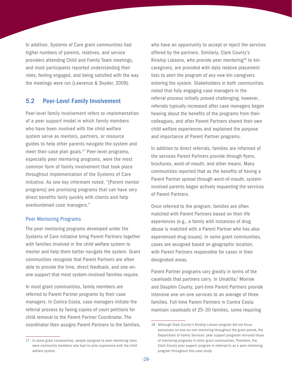<span id="page-31-0"></span>In addition, Systems of Care grant communities had higher numbers of parents, relatives, and service providers attending Child and Family Team meetings, and most participants reported understanding their roles, feeling engaged, and being satisfied with the way the meetings were run (Lawrence & Snyder, 2009).

#### 5.2 Peer-Level Family Involvement

Peer-level family involvement refers to implementation of a peer support model in which family members who have been involved with the child welfare system serve as mentors, partners, or resource guides to help other parents navigate the system and meet their case plan goals.<sup>17</sup> Peer-level programs, especially peer mentoring programs, were the most common form of family involvement that took place throughout implementation of the Systems of Care initiative. As one key informant noted, "[Parent mentor programs] are promising programs that can have very direct benefits fairly quickly with clients and help overburdened case managers."

#### Peer Mentoring Programs

The peer mentoring programs developed under the Systems of Care initiative bring Parent Partners together with families involved in the child welfare system to mentor and help them better navigate the system. Grant communities recognize that Parent Partners are often able to provide the time, direct feedback, and one-onone support that most system-involved families require.

In most grant communities, family members are referred to Parent Partner programs by their case managers. In Contra Costa, case managers initiate the referral process by faxing copies of court petitions for child removal to the Parent Partner Coordinator. The coordinator then assigns Parent Partners to the families,

who have an opportunity to accept or reject the services offered by the partners. Similarly, Clark County's Kinship Liaisons, who provide peer mentoring<sup>18</sup> to kincaregivers, are provided with daily relative placement lists to alert the program of any new kin-caregivers entering the system. Stakeholders in both communities noted that fully engaging case managers in the referral process initially proved challenging; however, referrals typically increased after case managers began hearing about the benefits of the programs from their colleagues, and after Parent Partners shared their own child welfare experiences and explained the purpose and importance of Parent Partner programs.

In addition to direct referrals, families are informed of the services Parent Partners provide through flyers, brochures, word-of-mouth, and other means. Many communities reported that as the benefits of having a Parent Partner spread through word-of-mouth, systeminvolved parents began actively requesting the services of Parent Partners.

Once referred to the program, families are often matched with Parent Partners based on their life experiences (e.g., a family with instances of drug abuse is matched with a Parent Partner who has also experienced drug issues). In some grant communities, cases are assigned based on geographic location, with Parent Partners responsible for cases in their designated areas.

Parent Partner programs vary greatly in terms of the caseloads that partners carry. In Umatilla/ Morrow and Dauphin County, part-time Parent Partners provide intensive one-on-one services to an average of three families. Full-time Parent Partners in Contra Costa maintain caseloads of 25–30 families, some requiring

<sup>17</sup> In some grant communities, people assigned to peer mentoring roles were community members who had no prior experience with the child welfare system.

<sup>18</sup> Although Clark County's Kinship Liaison program did not focus exclusively on one-on-one mentoring throughout the grant period, the Department of Family Services' peer support programs mirrored those of mentoring programs in other grant communities. Therefore, the Clark County peer support program is referred to as a peer mentoring program throughout this case study.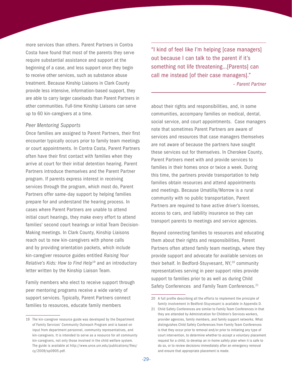more services than others. Parent Partners in Contra Costa have found that most of the parents they serve require substantial assistance and support at the beginning of a case, and less support once they begin to receive other services, such as substance abuse treatment. Because Kinship Liaisons in Clark County provide less intensive, information-based support, they are able to carry larger caseloads than Parent Partners in other communities. Full-time Kinship Liaisons can serve up to 60 kin-caregivers at a time.

#### *Peer Mentoring Supports*

Once families are assigned to Parent Partners, their first encounter typically occurs prior to family team meetings or court appointments. In Contra Costa, Parent Partners often have their first contact with families when they arrive at court for their initial detention hearing. Parent Partners introduce themselves and the Parent Partner program. If parents express interest in receiving services through the program, which most do, Parent Partners offer same-day support by helping families prepare for and understand the hearing process. In cases where Parent Partners are unable to attend initial court hearings, they make every effort to attend families' second court hearings or initial Team Decision-Making meetings. In Clark County, Kinship Liaisons reach out to new kin-caregivers with phone calls and by providing orientation packets, which include kin-caregiver resource guides entitled *Raising Your Relative's Kids: How to Find Help*19 and an introductory letter written by the Kinship Liaison Team.

Family members who elect to receive support through peer mentoring programs receive a wide variety of support services. Typically, Parent Partners connect families to resources, educate family members

"I kind of feel like I'm helping [case managers] out because I can talk to the parent if it's something not life threatening…[Parents] can call me instead [of their case managers]."

*– Parent Partner*

about their rights and responsibilities, and, in some communities, accompany families on medical, dental, social service, and court appointments. Case managers note that sometimes Parent Partners are aware of services and resources that case managers themselves are not aware of because the partners have sought these services out for themselves. In Cherokee County, Parent Partners meet with and provide services to families in their homes once or twice a week. During this time, the partners provide transportation to help families obtain resources and attend appointments and meetings. Because Umatilla/Morrow is a rural community with no public transportation, Parent Partners are required to have active driver's licenses, access to cars, and liability insurance so they can transport parents to meetings and service agencies.

Beyond connecting families to resources and educating them about their rights and responsibilities, Parent Partners often attend family team meetings, where they provide support and advocate for available services on their behalf. In Bedford-Stuyvesant, NY,<sup>20</sup> community representatives serving in peer support roles provide support to families prior to as well as during Child Safety Conferences and Family Team Conferences.<sup>21</sup>

<sup>19</sup> The kin-caregiver resource guide was developed by the Department of Family Services' Community Outreach Program and is based on input from department personnel, community representatives, and kin-caregivers. It is intended to serve as a resource for all community kin-caregivers, not only those involved in the child welfare system. The guide is available at [http://www.unce.unr.edu/publications/files/](http://cbexpress.acf.hhs.gov/index.cfm?event=website.viewArticles&issueid=102§ionid=2&articleid=2516) [cy/2009/sp0905.pdf.](http://cbexpress.acf.hhs.gov/index.cfm?event=website.viewArticles&issueid=102§ionid=2&articleid=2516)

<sup>20</sup> A full profile describing all the efforts to implement the principle of family involvement in Bedford-Stuyvesant is available in Appendix D.

<sup>21</sup> Child Safety Conferences are similar to Family Team Conferences in that they are attended by Administration for Children's Services workers, provider agencies, family members, and family support networks. What distinguishes Child Safety Conferences from Family Team Conferences is that they occur prior to removal and/or prior to initiating any type of court intervention, to determine whether to accept a voluntary placement request for a child, to develop an in-home safety plan when it is safe to do so, or to review decisions immediately after an emergency removal and ensure that appropriate placement is made.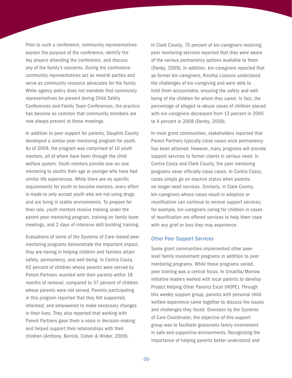Prior to such a conference, community representatives explain the purpose of the conference, identify the key players attending the conference, and discuss any of the family's concerns. During the conference, community representatives act as neutral parties and serve as community resource advocates for the family. While agency policy does not mandate that community representatives be present during Child Safety Conferences and Family Team Conferences, the practice has become so common that community members are now always present at these meetings.

In addition to peer support for parents, Dauphin County developed a similar peer mentoring program for youth. As of 2009, the program was comprised of 10 youth mentors, all of whom have been through the child welfare system. Youth mentors provide one-on-one mentoring to youths their age or younger who have had similar life experiences. While there are no specific requirements for youth to become mentors, every effort is made to only accept youth who are not using drugs and are living in stable environments. To prepare for their role, youth mentors receive training under the parent peer mentoring program, training on family team meetings, and 2 days of intensive skill-building training.

Evaluations of some of the Systems of Care–based peer mentoring programs demonstrate the important impact they are having in helping children and families attain safety, permanency, and well-being. In Contra Costa, 62 percent of children whose parents were served by Parent Partners reunited with their parents within 18 months of removal, compared to 37 percent of children whose parents were not served. Parents participating in this program reported that they felt supported, informed, and empowered to make necessary changes in their lives. They also reported that working with Parent Partners gave them a voice in decision-making and helped support their relationships with their children (Anthony, Berrick, Cohen & Wilder, 2009).

In Clark County, 70 percent of kin-caregivers receiving peer mentoring services reported that they were aware of the various permanency options available to them (Denby, 2009). In addition, kin-caregivers reported that as former kin-caregivers, Kinship Liaisons understood the challenges of kin-caregiving and were able to hold them accountable, ensuring the safety and wellbeing of the children for whom they cared. In fact, the percentage of alleged re-abuse cases of children placed with kin-caregivers decreased from 13 percent in 2005 to 4 percent in 2008 (Denby, 2009).

In most grant communities, stakeholders reported that Parent Partners typically close cases once permanency has been attained. However, many programs will provide support services to former clients in serious need. In Contra Costa and Clark County, the peer mentoring programs never officially close cases. In Contra Costa, cases simply go on inactive status when parents no longer need services. Similarly, in Clark County, kin-caregivers whose cases result in adoption or reunification can continue to receive support services; for example, kin-caregivers caring for children in cases of reunification are offered services to help them cope with any grief or loss they may experience.

#### Other Peer Support Services

Some grant communities implemented other peerlevel family involvement programs in addition to peer mentoring programs. While these programs varied, peer training was a central focus. In Umatilla/Morrow, initiative leaders worked with local parents to develop Project Helping Other Parents Excel (HOPE). Through this weekly support group, parents with personal child welfare experience came together to discuss the issues and challenges they faced. Overseen by the Systems of Care Coordinator, the objective of this support group was to facilitate grassroots family involvement in safe and supportive environments. Recognizing the importance of helping parents better understand and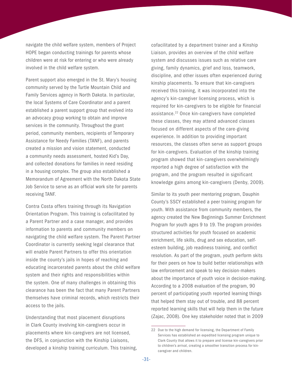navigate the child welfare system, members of Project HOPE began conducting trainings for parents whose children were at risk for entering or who were already involved in the child welfare system.

Parent support also emerged in the St. Mary's housing community served by the Turtle Mountain Child and Family Services agency in North Dakota. In particular, the local Systems of Care Coordinator and a parent established a parent support group that evolved into an advocacy group working to obtain and improve services in the community. Throughout the grant period, community members, recipients of Temporary Assistance for Needy Families (TANF), and parents created a mission and vision statement, conducted a community needs assessment, hosted Kid's Day, and collected donations for families in need residing in a housing complex. The group also established a Memorandum of Agreement with the North Dakota State Job Service to serve as an official work site for parents receiving TANF.

Contra Costa offers training through its Navigation Orientation Program. This training is cofacilitated by a Parent Partner and a case manager, and provides information to parents and community members on navigating the child welfare system. The Parent Partner Coordinator is currently seeking legal clearance that will enable Parent Partners to offer this orientation inside the county's jails in hopes of reaching and educating incarcerated parents about the child welfare system and their rights and responsibilities within the system. One of many challenges in obtaining this clearance has been the fact that many Parent Partners themselves have criminal records, which restricts their access to the jails.

Understanding that most placement disruptions in Clark County involving kin-caregivers occur in placements where kin-caregivers are not licensed, the DFS, in conjunction with the Kinship Liaisons, developed a kinship training curriculum. This training,

cofacilitated by a department trainer and a Kinship Liaison, provides an overview of the child welfare system and discusses issues such as relative care giving, family dynamics, grief and loss, teamwork, discipline, and other issues often experienced during kinship placements. To ensure that kin-caregivers received this training, it was incorporated into the agency's kin-caregiver licensing process, which is required for kin-caregivers to be eligible for financial assistance.<sup>22</sup> Once kin-caregivers have completed these classes, they may attend advanced classes focused on different aspects of the care-giving experience. In addition to providing important resources, the classes often serve as support groups for kin-caregivers. Evaluation of the kinship training program showed that kin-caregivers overwhelmingly reported a high degree of satisfaction with the program, and the program resulted in significant knowledge gains among kin-caregivers (Denby, 2009).

Similar to its youth peer mentoring program, Dauphin County's SSCY established a peer training program for youth. With assistance from community members, the agency created the New Beginnings Summer Enrichment Program for youth ages 9 to 19. The program provides structured activities for youth focused on academic enrichment, life skills, drug and sex education, selfesteem building, job readiness training, and conflict resolution. As part of the program, youth perform skits for their peers on how to build better relationships with law enforcement and speak to key decision-makers about the importance of youth voice in decision-making. According to a 2008 evaluation of the program, 90 percent of participating youth reported learning things that helped them stay out of trouble, and 88 percent reported learning skills that will help them in the future (Zajac, 2008). One key stakeholder noted that in 2009

<sup>22</sup> Due to the high demand for licensing, the Department of Family Services has established an expedited licensing program unique to Clark County that allows it to prepare and license kin-caregivers prior to children's arrival, creating a smoother transition process for kincaregiver and children.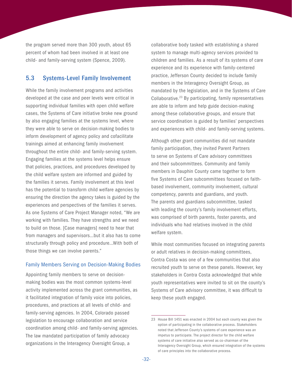<span id="page-35-0"></span>the program served more than 300 youth, about 65 percent of whom had been involved in at least one child- and family-serving system (Spence, 2009).

#### 5.3 Systems-Level Family Involvement

While the family involvement programs and activities developed at the case and peer levels were critical in supporting individual families with open child welfare cases, the Systems of Care initiative broke new ground by also engaging families at the systems level, where they were able to serve on decision-making bodies to inform development of agency policy and cofacilitate trainings aimed at enhancing family involvement throughout the entire child- and family-serving system. Engaging families at the systems level helps ensure that policies, practices, and procedures developed by the child welfare system are informed and guided by the families it serves. Family involvement at this level has the potential to transform child welfare agencies by ensuring the direction the agency takes is guided by the experiences and perspectives of the families it serves. As one Systems of Care Project Manager noted, "We are working with families. They have strengths and we need to build on those. [Case managers] need to hear that from managers and supervisors…but it also has to come structurally through policy and procedure…With both of those things we can involve parents."

#### Family Members Serving on Decision-Making Bodies

Appointing family members to serve on decisionmaking bodies was the most common systems-level activity implemented across the grant communities, as it facilitated integration of family voice into policies, procedures, and practices at all levels of child- and family-serving agencies. In 2004, Colorado passed legislation to encourage collaboration and service coordination among child- and family-serving agencies. The law mandated participation of family advocacy organizations in the Interagency Oversight Group, a

collaborative body tasked with establishing a shared system to manage multi-agency services provided to children and families. As a result of its systems of care experience and its experience with family-centered practice, Jefferson County decided to include family members in the Interagency Oversight Group, as mandated by the legislation, and in the Systems of Care Collaborative.23 By participating, family representatives are able to inform and help guide decision-making among these collaborative groups, and ensure that service coordination is guided by families' perspectives and experiences with child- and family-serving systems.

Although other grant communities did not mandate family participation, they invited Parent Partners to serve on Systems of Care advisory committees and their subcommittees. Community and family members in Dauphin County came together to form five Systems of Care subcommittees focused on faithbased involvement, community involvement, cultural competency, parents and guardians, and youth. The parents and guardians subcommittee, tasked with leading the county's family involvement efforts, was comprised of birth parents, foster parents, and individuals who had relatives involved in the child welfare system.

While most communities focused on integrating parents or adult relatives in decision-making committees, Contra Costa was one of a few communities that also recruited youth to serve on these panels. However, key stakeholders in Contra Costa acknowledged that while youth representatives were invited to sit on the county's Systems of Care advisory committee, it was difficult to keep these youth engaged.

<sup>23</sup> House Bill 1451 was enacted in 2004 but each county was given the option of participating in the collaborative process. Stakeholders noted that Jefferson County's systems of care experience was an impetus to participate. The project director for the child welfare systems of care initiative also served as co-chairman of the Interagency Oversight Group, which ensured integration of the systems of care principles into the collaborative process.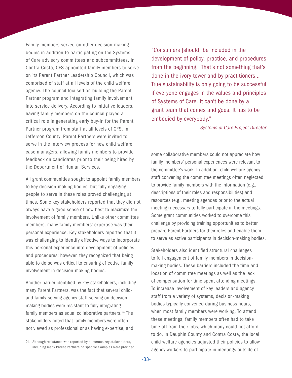Family members served on other decision-making bodies in addition to participating on the Systems of Care advisory committees and subcommittees. In Contra Costa, CFS appointed family members to serve on its Parent Partner Leadership Council, which was comprised of staff at all levels of the child welfare agency. The council focused on building the Parent Partner program and integrating family involvement into service delivery. According to initiative leaders, having family members on the council played a critical role in generating early buy-in for the Parent Partner program from staff at all levels of CFS. In Jefferson County, Parent Partners were invited to serve in the interview process for new child welfare case managers, allowing family members to provide feedback on candidates prior to their being hired by the Department of Human Services.

All grant communities sought to appoint family members to key decision-making bodies, but fully engaging people to serve in these roles proved challenging at times. Some key stakeholders reported that they did not always have a good sense of how best to maximize the involvement of family members. Unlike other committee members, many family members' expertise was their personal experience. Key stakeholders reported that it was challenging to identify effective ways to incorporate this personal experience into development of policies and procedures; however, they recognized that being able to do so was critical to ensuring effective family involvement in decision-making bodies.

Another barrier identified by key stakeholders, including many Parent Partners, was the fact that several childand family-serving agency staff serving on decisionmaking bodies were resistant to fully integrating family members as equal collaborative partners.<sup>24</sup> The stakeholders noted that family members were often not viewed as professional or as having expertise, and

"Consumers [should] be included in the development of policy, practice, and procedures from the beginning. That's not something that's done in the ivory tower and by practitioners… True sustainability is only going to be successful if everyone engages in the values and principles of Systems of Care. It can't be done by a grant team that comes and goes. It has to be embodied by everybody."

*– Systems of Care Project Director*

some collaborative members could not appreciate how family members' personal experiences were relevant to the committee's work. In addition, child welfare agency staff convening the committee meetings often neglected to provide family members with the information (e.g., descriptions of their roles and responsibilities) and resources (e.g., meeting agendas prior to the actual meeting) necessary to fully participate in the meetings. Some grant communities worked to overcome this challenge by providing training opportunities to better prepare Parent Partners for their roles and enable them to serve as active participants in decision-making bodies.

Stakeholders also identified structural challenges to full engagement of family members in decisionmaking bodies. These barriers included the time and location of committee meetings as well as the lack of compensation for time spent attending meetings. To increase involvement of key leaders and agency staff from a variety of systems, decision-making bodies typically convened during business hours, when most family members were working. To attend these meetings, family members often had to take time off from their jobs, which many could not afford to do. In Dauphin County and Contra Costa, the local child welfare agencies adjusted their policies to allow agency workers to participate in meetings outside of

<sup>24</sup> Although resistance was reported by numerous key stakeholders, including many Parent Partners no specific examples were provided.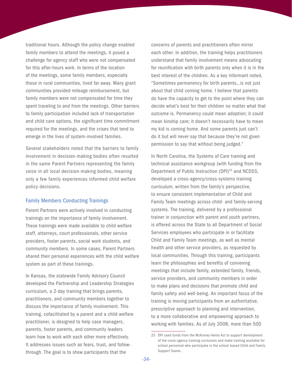traditional hours. Although the policy change enabled family members to attend the meetings, it posed a challenge for agency staff who were not compensated for this after-hours work. In terms of the location of the meetings, some family members, especially those in rural communities, lived far away. Many grant communities provided mileage reimbursement, but family members were not compensated for time they spent traveling to and from the meetings. Other barriers to family participation included lack of transportation and child care options, the significant time commitment required for the meetings, and the crises that tend to emerge in the lives of system-involved families.

Several stakeholders noted that the barriers to family involvement in decision-making bodies often resulted in the same Parent Partners representing the family voice in all local decision-making bodies, meaning only a few family experiences informed child welfare policy decisions.

#### Family Members Conducting Trainings

Parent Partners were actively involved in conducting trainings on the importance of family involvement. These trainings were made available to child welfare staff, attorneys, court professionals, other service providers, foster parents, social work students, and community members. In some cases, Parent Partners shared their personal experiences with the child welfare system as part of these trainings.

In Kansas, the statewide Family Advisory Council developed the Partnership and Leadership Strategies curriculum, a 2-day training that brings parents, practitioners, and community members together to discuss the importance of family involvement. This training, cofacilitated by a parent and a child welfare practitioner, is designed to help case managers, parents, foster parents, and community leaders learn how to work with each other more effectively. It addresses issues such as fears, trust, and followthrough. The goal is to show participants that the

concerns of parents and practitioners often mirror each other. In addition, the training helps practitioners understand that family involvement means advocating for reunification with birth parents only when it is in the best interest of the children. As a key informant noted, "Sometimes permanency for birth parents…is not just about that child coming home. I believe that parents do have the capacity to get to the point where they can decide what's best for their children no matter what that outcome is. Permanency could mean adoption; it could mean kinship care; it doesn't necessarily have to mean my kid is coming home. And some parents just can't do it but will never say that because they're not given permission to say that without being judged."

In North Carolina, the Systems of Care training and technical assistance workgroup (with funding from the Department of Public Instruction (DPI)<sup>25</sup> and NCDSS, developed a cross-agency/cross-systems training curriculum, written from the family's perspective, to ensure consistent implementation of Child and Family Team meetings across child- and family-serving systems. The training, delivered by a professional trainer in conjunction with parent and youth partners, is offered across the State to all Department of Social Services employees who participate in or facilitate Child and Family Team meetings, as well as mental health and other service providers, as requested by local communities. Through this training, participants learn the philosophies and benefits of convening meetings that include family, extended family, friends, service providers, and community members in order to make plans and decisions that promote child and family safety and well-being. An important focus of the training is moving participants from an authoritative, prescriptive approach to planning and intervention, to a more collaborative and empowering approach to working with families. As of July 2008, more than 500

<sup>25</sup> DPI used funds from the McKinney-Vento Act to support development of the cross-agency training curriculum and make training available for school personnel who participate in the school-based Child and Family Support Teams.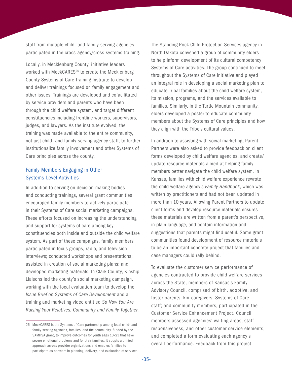staff from multiple child- and family-serving agencies participated in the cross-agency/cross-systems training.

Locally, in Mecklenburg County, initiative leaders worked with MeckCARES<sup>26</sup> to create the Mecklenburg County Systems of Care Training Institute to develop and deliver trainings focused on family engagement and other issues. Trainings are developed and cofacilitated by service providers and parents who have been through the child welfare system, and target different constituencies including frontline workers, supervisors, judges, and lawyers. As the institute evolved, the training was made available to the entire community, not just child- and family-serving agency staff, to further institutionalize family involvement and other Systems of Care principles across the county.

#### Family Members Engaging in Other Systems-Level Activities

In addition to serving on decision-making bodies and conducting trainings, several grant communities encouraged family members to actively participate in their Systems of Care social marketing campaigns. These efforts focused on increasing the understanding and support for systems of care among key constituencies both inside and outside the child welfare system. As part of these campaigns, family members participated in focus groups, radio, and television interviews; conducted workshops and presentations; assisted in creation of social marketing plans; and developed marketing materials. In Clark County, Kinship Liaisons led the county's social marketing campaign, working with the local evaluation team to develop the *Issue Brief on Systems of Care Development* and a training and marketing video entitled *So Now You Are Raising Your Relatives: Community and Family Together*.

The Standing Rock Child Protection Services agency in North Dakota convened a group of community elders to help inform development of its cultural competency Systems of Care activities. The group continued to meet throughout the Systems of Care initiative and played an integral role in developing a social marketing plan to educate Tribal families about the child welfare system, its mission, programs, and the services available to families. Similarly, in the Turtle Mountain community, elders developed a poster to educate community members about the Systems of Care principles and how they align with the Tribe's cultural values.

In addition to assisting with social marketing, Parent Partners were also asked to provide feedback on client forms developed by child welfare agencies, and create/ update resource materials aimed at helping family members better navigate the child welfare system. In Kansas, families with child welfare experience rewrote the child welfare agency's *Family Handbook*, which was written by practitioners and had not been updated in more than 10 years. Allowing Parent Partners to update client forms and develop resource materials ensures these materials are written from a parent's perspective, in plain language, and contain information and suggestions that parents might find useful. Some grant communities found development of resource materials to be an important concrete project that families and case managers could rally behind.

To evaluate the customer service performance of agencies contracted to provide child welfare services across the State, members of Kansas's Family Advisory Council, comprised of birth, adoptive, and foster parents; kin-caregivers; Systems of Care staff; and community members, participated in the Customer Service Enhancement Project. Council members assessed agencies' waiting areas, staff responsiveness, and other customer service elements, and completed a form evaluating each agency's overall performance. Feedback from this project

<sup>26</sup> MeckCARES is the Systems of Care partnership among local child- and family-serving agencies, families, and the community, funded by the SAMHSA grant, to improve outcomes for youth ages 10–21 that have severe emotional problems and for their families. It adopts a unified approach across provider organizations and enables families to participate as partners in planning, delivery, and evaluation of services.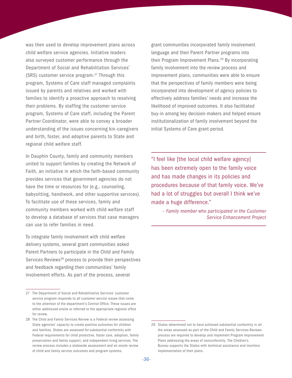was then used to develop improvement plans across child welfare service agencies. Initiative leaders also surveyed customer performance through the Department of Social and Rehabilitation Services' (SRS) customer service program.27 Through this program, Systems of Care staff managed complaints issued by parents and relatives and worked with families to identify a proactive approach to resolving their problems. By staffing the customer service program, Systems of Care staff, including the Parent Partner Coordinator, were able to convey a broader understanding of the issues concerning kin-caregivers and birth, foster, and adoptive parents to State and regional child welfare staff.

In Dauphin County, family and community members united to support families by creating the Network of Faith, an initiative in which the faith-based community provides services that government agencies do not have the time or resources for (e.g., counseling, babysitting, handiwork, and other supportive services). To facilitate use of these services, family and community members worked with child welfare staff to develop a database of services that case managers can use to refer families in need.

To integrate family involvement with child welfare delivery systems, several grant communities asked Parent Partners to participate in the Child and Family Services Reviews<sup>28</sup> process to provide their perspectives and feedback regarding their communities' family involvement efforts. As part of the process, several

grant communities incorporated family involvement language and their Parent Partner programs into their Program Improvement Plans.<sup>29</sup> By incorporating family involvement into the review process and improvement plans, communities were able to ensure that the perspectives of family members were being incorporated into development of agency policies to effectively address families' needs and increase the likelihood of improved outcomes. It also facilitated buy-in among key decision-makers and helped ensure institutionalization of family involvement beyond the initial Systems of Care grant period.

"I feel like [the local child welfare agency] has been extremely open to the family voice and has made changes in its policies and procedures because of that family voice. We've had a lot of struggles but overall I think we've made a huge difference."

*– Family member who participated in the Customer Service Enhancement Project*

<sup>27</sup> The Department of Social and Rehabilitative Services' customer service program responds to all customer service issues that come to the attention of the department's Central Office. These issues are either addressed onsite or referred to the appropriate regional office for review.

<sup>28</sup> The Child and Family Services Review is a Federal review assessing State agencies' capacity to create positive outcomes for children and families. States are assessed for substantial conformity with Federal requirements for child protective, foster care, adoption, family preservation and family support, and independent living services. The review process includes a statewide assessment and an onsite review of child and family service outcomes and program systems.

<sup>29</sup> States determined not to have achieved substantial conformity in all the areas assessed as part of the Child and Family Services Reviews process are required to develop and implement Program Improvement Plans addressing the areas of nonconformity. The Children's Bureau supports the States with technical assistance and monitors implementation of their plans.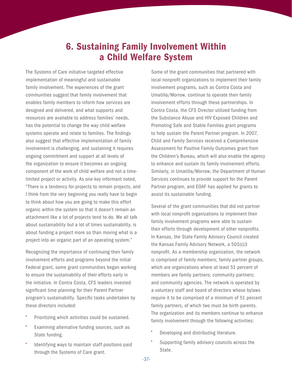### 6. Sustaining Family Involvement Within a Child Welfare System

<span id="page-40-0"></span>The Systems of Care initiative targeted effective implementation of meaningful and sustainable family involvement. The experiences of the grant communities suggest that family involvement that enables family members to inform how services are designed and delivered, and what supports and resources are available to address families' needs, has the potential to change the way child welfare systems operate and relate to families. The findings also suggest that effective implementation of family involvement is challenging, and sustaining it requires ongoing commitment and support at all levels of the organization to ensure it becomes an ongoing component of the work of child welfare and not a timelimited project or activity. As one key informant noted, "There is a tendency for projects to remain projects, and I think from the very beginning you really have to begin to think about how you are going to make this effort organic within the system so that it doesn't remain an attachment like a lot of projects tend to do. We all talk about sustainability but a lot of times sustainability, is about funding a project more so than moving what is a project into an organic part of an operating system."

Recognizing the importance of continuing their family involvement efforts and programs beyond the initial Federal grant, some grant communities began working to ensure the sustainability of their efforts early in the initiative. In Contra Costa, CFS leaders invested significant time planning for their Parent Partner program's sustainability. Specific tasks undertaken by these directors included:

- Prioritizing which activities could be sustained.
- Examining alternative funding sources, such as State funding.
- Identifying ways to maintain staff positions paid through the Systems of Care grant.

Some of the grant communities that partnered with local nonprofit organizations to implement their family involvement programs, such as Contra Costa and Umatilla/Morrow, continue to operate their family involvement efforts through these partnerships. In Contra Costa, the CFS Director utilized funding from the Substance Abuse and HIV Exposed Children and Promoting Safe and Stable Families grant programs to help sustain the Parent Partner program. In 2007, Child and Family Services received a Comprehensive Assessment for Positive Family Outcomes grant from the Children's Bureau, which will also enable the agency to enhance and sustain its family involvement efforts. Similarly, in Umatilla/Morrow, the Department of Human Services continues to provide support for the Parent Partner program, and EOAF has applied for grants to assist its sustainable funding.

Several of the grant communities that did not partner with local nonprofit organizations to implement their family involvement programs were able to sustain their efforts through development of other nonprofits. In Kansas, the State Family Advisory Council created the Kansas Family Advisory Network, a 501(c)3 nonprofit. As a membership organization, the network is comprised of family members; family partner groups, which are organizations where at least 51 percent of members are family partners; community partners; and community agencies. The network is operated by a voluntary staff and board of directors whose bylaws require it to be comprised of a minimum of 51 percent family partners, of which two must be birth parents. The organization and its members continue to enhance family involvement through the following activities:

- Developing and distributing literature.
- Supporting family advisory councils across the State.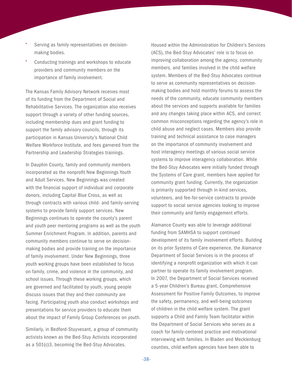- Serving as family representatives on decisionmaking bodies.
- Conducting trainings and workshops to educate providers and community members on the importance of family involvement.

The Kansas Family Advisory Network receives most of its funding from the Department of Social and Rehabilitative Services. The organization also receives support through a variety of other funding sources, including membership dues and grant funding to support the family advisory councils, through its participation in Kansas University's National Child Welfare Workforce Institute, and fees garnered from the Partnership and Leadership Strategies trainings.

In Dauphin County, family and community members incorporated as the nonprofit New Beginnings Youth and Adult Services. New Beginnings was created with the financial support of individual and corporate donors, including Capital Blue Cross, as well as through contracts with various child- and family-serving systems to provide family support services. New Beginnings continues to operate the county's parent and youth peer mentoring programs as well as the youth Summer Enrichment Program. In addition, parents and community members continue to serve on decisionmaking bodies and provide training on the importance of family involvement. Under New Beginnings, three youth working groups have been established to focus on family, crime, and violence in the community, and school issues. Through these working groups, which are governed and facilitated by youth, young people discuss issues that they and their community are facing. Participating youth also conduct workshops and presentations for service providers to educate them about the impact of Family Group Conferences on youth.

Similarly, in Bedford-Stuyvesant, a group of community activists known as the Bed-Stuy Activists incorporated as a 501(c)3, becoming the Bed-Stuy Advocates.

Housed within the Administration for Children's Services (ACS), the Bed-Stuy Advocates' role is to focus on improving collaboration among the agency, community members, and families involved in the child welfare system. Members of the Bed-Stuy Advocates continue to serve as community representatives on decisionmaking bodies and hold monthly forums to assess the needs of the community, educate community members about the services and supports available for families and any changes taking place within ACS, and correct common misconceptions regarding the agency's role in child abuse and neglect cases. Members also provide training and technical assistance to case managers on the importance of community involvement and host interagency meetings of various social service systems to improve interagency collaboration. While the Bed-Stuy Advocates were initially funded through the Systems of Care grant, members have applied for community grant funding. Currently, the organization is primarily supported through in-kind services, volunteers, and fee-for-service contracts to provide support to social service agencies looking to improve their community and family engagement efforts.

Alamance County was able to leverage additional funding from SAMHSA to support continued development of its family involvement efforts. Building on its prior Systems of Care experience, the Alamance Department of Social Services is in the process of identifying a nonprofit organization with which it can partner to operate its family involvement program. In 2007, the Department of Social Services received a 5-year Children's Bureau grant, Comprehensive Assessment for Positive Family Outcomes, to improve the safety, permanency, and well-being outcomes of children in the child welfare system. The grant supports a Child and Family Team facilitator within the Department of Social Services who serves as a coach for family-centered practice and motivational interviewing with families. In Bladen and Mecklenburg counties, child welfare agencies have been able to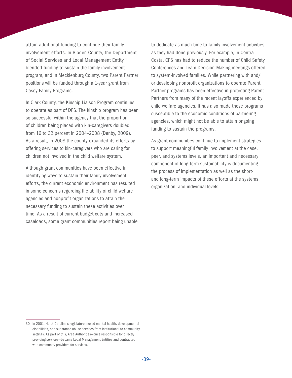attain additional funding to continue their family involvement efforts. In Bladen County, the Department of Social Services and Local Management Entity<sup>30</sup> blended funding to sustain the family involvement program, and in Mecklenburg County, two Parent Partner positions will be funded through a 1-year grant from Casey Family Programs.

In Clark County, the Kinship Liaison Program continues to operate as part of DFS. The kinship program has been so successful within the agency that the proportion of children being placed with kin-caregivers doubled from 16 to 32 percent in 2004–2008 (Denby, 2009). As a result, in 2008 the county expanded its efforts by offering services to kin-caregivers who are caring for children not involved in the child welfare system.

Although grant communities have been effective in identifying ways to sustain their family involvement efforts, the current economic environment has resulted in some concerns regarding the ability of child welfare agencies and nonprofit organizations to attain the necessary funding to sustain these activities over time. As a result of current budget cuts and increased caseloads, some grant communities report being unable to dedicate as much time to family involvement activities as they had done previously. For example, in Contra Costa, CFS has had to reduce the number of Child Safety Conferences and Team Decision-Making meetings offered to system-involved families. While partnering with and/ or developing nonprofit organizations to operate Parent Partner programs has been effective in protecting Parent Partners from many of the recent layoffs experienced by child welfare agencies, it has also made these programs susceptible to the economic conditions of partnering agencies, which might not be able to attain ongoing funding to sustain the programs.

As grant communities continue to implement strategies to support meaningful family involvement at the case, peer, and systems levels, an important and necessary component of long-term sustainability is documenting the process of implementation as well as the shortand long-term impacts of these efforts at the systems, organization, and individual levels.

<sup>30</sup> In 2001, North Carolina's legislature moved mental health, developmental disabilities, and substance abuse services from institutional to community settings. As part of this, Area Authorities—once responsible for directly providing services—became Local Management Entities and contracted with community providers for services.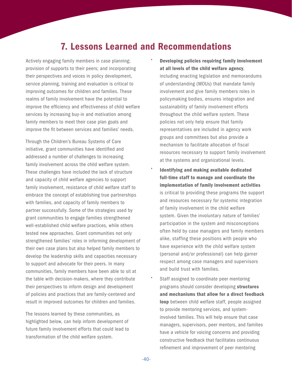### 7. Lessons Learned and Recommendations

<span id="page-43-0"></span>Actively engaging family members in case planning; provision of supports to their peers; and incorporating their perspectives and voices in policy development, service planning, training and evaluation is critical to improving outcomes for children and families. These realms of family involvement have the potential to improve the efficiency and effectiveness of child welfare services by increasing buy-in and motivation among family members to meet their case plan goals and improve the fit between services and families' needs.

Through the Children's Bureau Systems of Care initiative, grant communities have identified and addressed a number of challenges to increasing family involvement across the child welfare system. These challenges have included the lack of structure and capacity of child welfare agencies to support family involvement, resistance of child welfare staff to embrace the concept of establishing true partnerships with families, and capacity of family members to partner successfully. Some of the strategies used by grant communities to engage families strengthened well-established child welfare practices, while others tested new approaches. Grant communities not only strengthened families' roles in informing development of their own case plans but also helped family members to develop the leadership skills and capacities necessary to support and advocate for their peers. In many communities, family members have been able to sit at the table with decision-makers, where they contribute their perspectives to inform design and development of policies and practices that are family-centered and result in improved outcomes for children and families.

The lessons learned by these communities, as highlighted below, can help inform development of future family involvement efforts that could lead to transformation of the child welfare system.

- Developing policies requiring family involvement at all levels of the child welfare agency, including enacting legislation and memorandums of understanding (MOUs) that mandate family involvement and give family members roles in policymaking bodies, ensures integration and sustainability of family involvement efforts throughout the child welfare system. These policies not only help ensure that family representatives are included in agency work groups and committees but also provide a mechanism to facilitate allocation of fiscal resources necessary to support family involvement at the systems and organizational levels.
- Identifying and making available dedicated full-time staff to manage and coordinate the implementation of family involvement activities is critical to providing these programs the support and resources necessary for systemic integration of family involvement in the child welfare system. Given the involuntary nature of families' participation in the system and misconceptions often held by case managers and family members alike, staffing these positions with people who have experience with the child welfare system (personal and/or professional) can help garner respect among case managers and supervisors and build trust with families.
- Staff assigned to coordinate peer mentoring programs should consider developing structures and mechanisms that allow for a direct feedback loop between child welfare staff, people assigned to provide mentoring services, and systeminvolved families. This will help ensure that case managers, supervisors, peer mentors, and families have a vehicle for voicing concerns and providing constructive feedback that facilitates continuous refinement and improvement of peer mentoring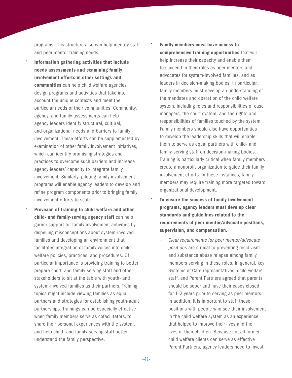programs. This structure also can help identify staff and peer mentor training needs.

- Information gathering activities that include needs assessments and examining family involvement efforts in other settings and communities can help child welfare agencies design programs and activities that take into account the unique contexts and meet the particular needs of their communities. Community, agency, and family assessments can help agency leaders identify structural, cultural, and organizational needs and barriers to family involvement. These efforts can be supplemented by examination of other family involvement initiatives, which can identify promising strategies and practices to overcome such barriers and increase agency leaders' capacity to integrate family involvement. Similarly, piloting family involvement programs will enable agency leaders to develop and refine program components prior to bringing family involvement efforts to scale.
- Provision of training to child welfare and other child- and family-serving agency staff can help garner support for family involvement activities by dispelling misconceptions about system-involved families and developing an environment that facilitates integration of family voices into child welfare policies, practices, and procedures. Of particular importance is providing training to better prepare child- and family-serving staff and other stakeholders to sit at the table with youth- and system-involved families as their partners. Training topics might include viewing families as equal partners and strategies for establishing youth-adult partnerships. Trainings can be especially effective when family members serve as cofacilitators, to share their personal experiences with the system, and help child- and family-serving staff better understand the family perspective.

#### • Family members must have access to comprehensive training opportunities that will help increase their capacity and enable them to succeed in their roles as peer mentors and advocates for system-involved families, and as leaders in decision-making bodies. In particular, family members must develop an understanding of the mandates and operation of the child welfare system, including roles and responsibilities of case managers, the court system, and the rights and responsibilities of families touched by the system. Family members should also have opportunities to develop the leadership skills that will enable them to serve as equal partners with child- and family-serving staff on decision-making bodies. Training is particularly critical when family members create a nonprofit organization to guide their family involvement efforts. In these instances, family members may require training more targeted toward

• To ensure the success of family involvement programs, agency leaders must develop clear standards and guidelines related to the requirements of peer mentor/advocate positions, supervision, and compensation.

organizational development.

− *Clear requirements for peer mentor/advocate positions* are critical to preventing recidivism and substance abuse relapse among family members serving in these roles. In general, key Systems of Care representatives, child welfare staff, and Parent Partners agreed that parents should be sober and have their cases closed for 1–2 years prior to serving as peer mentors. In addition, it is important to staff these positions with people who see their involvement in the child welfare system as an experience that helped to improve their lives and the lives of their children. Because not all former child welfare clients can serve as effective Parent Partners, agency leaders need to invest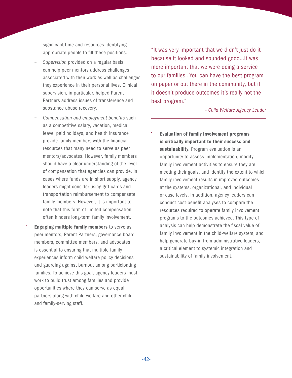significant time and resources identifying appropriate people to fill these positions.

- − *Supervision* provided on a regular basis can help peer mentors address challenges associated with their work as well as challenges they experience in their personal lives. Clinical supervision, in particular, helped Parent Partners address issues of transference and substance abuse recovery.
- − *Compensation and employment benefits* such as a competitive salary, vacation, medical leave, paid holidays, and health insurance provide family members with the financial resources that many need to serve as peer mentors/advocates. However, family members should have a clear understanding of the level of compensation that agencies can provide. In cases where funds are in short supply, agency leaders might consider using gift cards and transportation reimbursement to compensate family members. However, it is important to note that this form of limited compensation often hinders long-term family involvement.
- **Engaging multiple family members to serve as** peer mentors, Parent Partners, governance board members, committee members, and advocates is essential to ensuring that multiple family experiences inform child welfare policy decisions and guarding against burnout among participating families. To achieve this goal, agency leaders must work to build trust among families and provide opportunities where they can serve as equal partners along with child welfare and other childand family-serving staff.

"It was very important that we didn't just do it because it looked and sounded good…It was more important that we were doing a service to our families…You can have the best program on paper or out there in the community, but if it doesn't produce outcomes it's really not the best program."

*– Child Welfare Agency Leader*

• Evaluation of family involvement programs is critically important to their success and sustainability. Program evaluation is an opportunity to assess implementation, modify family involvement activities to ensure they are meeting their goals, and identify the extent to which family involvement results in improved outcomes at the systems, organizational, and individual or case levels. In addition, agency leaders can conduct cost-benefit analyses to compare the resources required to operate family involvement programs to the outcomes achieved. This type of analysis can help demonstrate the fiscal value of family involvement in the child-welfare system, and help generate buy-in from administrative leaders, a critical element to systemic integration and sustainability of family involvement.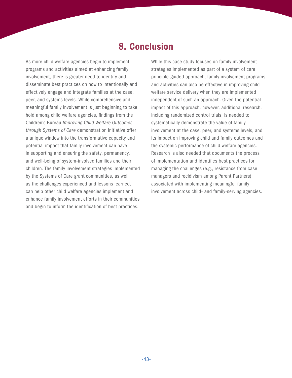### 8. Conclusion

<span id="page-46-0"></span>As more child welfare agencies begin to implement programs and activities aimed at enhancing family involvement, there is greater need to identify and disseminate best practices on how to intentionally and effectively engage and integrate families at the case, peer, and systems levels. While comprehensive and meaningful family involvement is just beginning to take hold among child welfare agencies, findings from the Children's Bureau *Improving Child Welfare Outcomes through Systems of Care* demonstration initiative offer a unique window into the transformative capacity and potential impact that family involvement can have in supporting and ensuring the safety, permanency, and well-being of system-involved families and their children. The family involvement strategies implemented by the Systems of Care grant communities, as well as the challenges experienced and lessons learned, can help other child welfare agencies implement and enhance family involvement efforts in their communities and begin to inform the identification of best practices.

While this case study focuses on family involvement strategies implemented as part of a system of care principle-guided approach, family involvement programs and activities can also be effective in improving child welfare service delivery when they are implemented independent of such an approach. Given the potential impact of this approach, however, additional research, including randomized control trials, is needed to systematically demonstrate the value of family involvement at the case, peer, and systems levels, and its impact on improving child and family outcomes and the systemic performance of child welfare agencies. Research is also needed that documents the process of implementation and identifies best practices for managing the challenges (e.g., resistance from case managers and recidivism among Parent Partners) associated with implementing meaningful family involvement across child- and family-serving agencies.